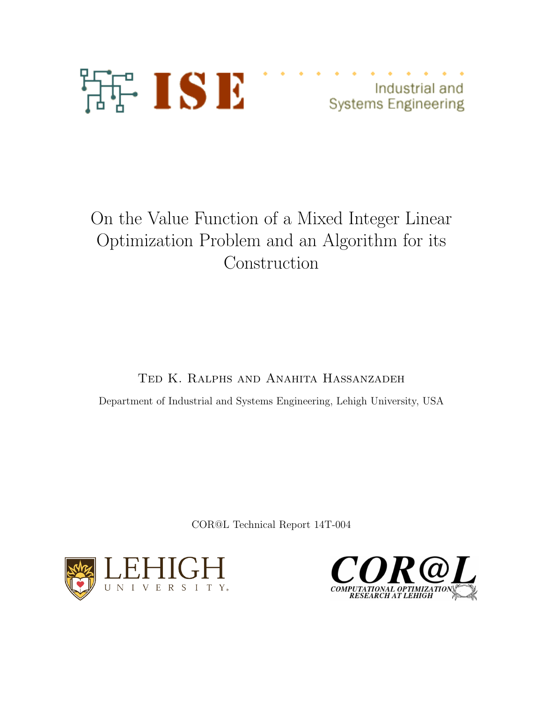

Industrial and **Systems Engineering** 

# On the Value Function of a Mixed Integer Linear Optimization Problem and an Algorithm for its Construction

Ted K. Ralphs and Anahita Hassanzadeh

Department of Industrial and Systems Engineering, Lehigh University, USA

COR@L Technical Report 14T-004



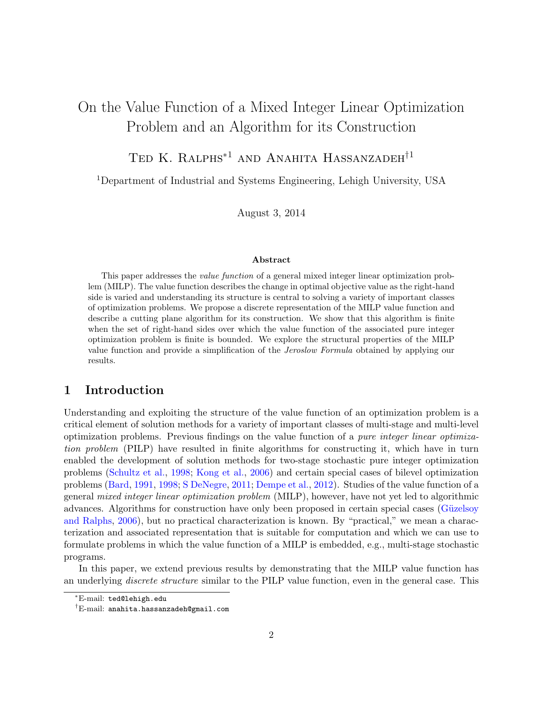# On the Value Function of a Mixed Integer Linear Optimization Problem and an Algorithm for its Construction

# TED K. RALPHS<sup>\*1</sup> AND ANAHITA HASSANZADEH<sup>†1</sup>

<sup>1</sup>Department of Industrial and Systems Engineering, Lehigh University, USA

August 3, 2014

#### Abstract

This paper addresses the value function of a general mixed integer linear optimization problem (MILP). The value function describes the change in optimal objective value as the right-hand side is varied and understanding its structure is central to solving a variety of important classes of optimization problems. We propose a discrete representation of the MILP value function and describe a cutting plane algorithm for its construction. We show that this algorithm is finite when the set of right-hand sides over which the value function of the associated pure integer optimization problem is finite is bounded. We explore the structural properties of the MILP value function and provide a simplification of the Jeroslow Formula obtained by applying our results.

# 1 Introduction

Understanding and exploiting the structure of the value function of an optimization problem is a critical element of solution methods for a variety of important classes of multi-stage and multi-level optimization problems. Previous findings on the value function of a pure integer linear optimization problem (PILP) have resulted in finite algorithms for constructing it, which have in turn enabled the development of solution methods for two-stage stochastic pure integer optimization problems [\(Schultz et al.,](#page-32-0) [1998;](#page-32-0) [Kong et al.,](#page-32-1) [2006\)](#page-32-1) and certain special cases of bilevel optimization problems [\(Bard,](#page-31-0) [1991,](#page-31-0) [1998;](#page-31-1) [S DeNegre,](#page-32-2) [2011;](#page-32-2) [Dempe et al.,](#page-32-3) [2012\)](#page-32-3). Studies of the value function of a general mixed integer linear optimization problem (MILP), however, have not yet led to algorithmic advances. Algorithms for construction have only been proposed in certain special cases (Güzelsoy [and Ralphs,](#page-32-4) [2006\)](#page-32-4), but no practical characterization is known. By "practical," we mean a characterization and associated representation that is suitable for computation and which we can use to formulate problems in which the value function of a MILP is embedded, e.g., multi-stage stochastic programs.

In this paper, we extend previous results by demonstrating that the MILP value function has an underlying *discrete structure* similar to the PILP value function, even in the general case. This

<sup>∗</sup>E-mail: ted@lehigh.edu

<sup>†</sup>E-mail: anahita.hassanzadeh@gmail.com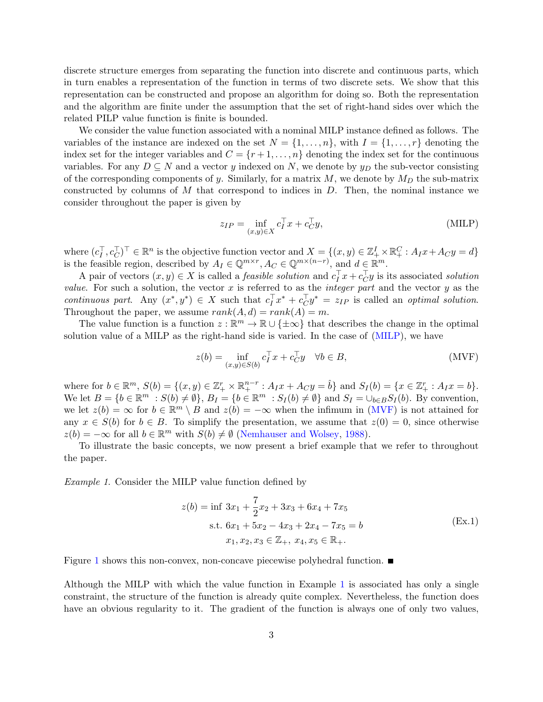discrete structure emerges from separating the function into discrete and continuous parts, which in turn enables a representation of the function in terms of two discrete sets. We show that this representation can be constructed and propose an algorithm for doing so. Both the representation and the algorithm are finite under the assumption that the set of right-hand sides over which the related PILP value function is finite is bounded.

We consider the value function associated with a nominal MILP instance defined as follows. The variables of the instance are indexed on the set  $N = \{1, \ldots, n\}$ , with  $I = \{1, \ldots, r\}$  denoting the index set for the integer variables and  $C = \{r+1, \ldots, n\}$  denoting the index set for the continuous variables. For any  $D \subseteq N$  and a vector y indexed on N, we denote by  $y_D$  the sub-vector consisting of the corresponding components of y. Similarly, for a matrix  $M$ , we denote by  $M_D$  the sub-matrix constructed by columns of  $M$  that correspond to indices in  $D$ . Then, the nominal instance we consider throughout the paper is given by

<span id="page-2-0"></span>
$$
z_{IP} = \inf_{(x,y)\in X} c_I^\top x + c_C^\top y,\tag{MILP}
$$

where  $(c_I^{\top}, c_C^{\top})^{\top} \in \mathbb{R}^n$  is the objective function vector and  $X = \{(x, y) \in \mathbb{Z}_{+}^I \times \mathbb{R}_{+}^C : A_I x + A_C y = d\}$ is the feasible region, described by  $A_I \in \mathbb{Q}^{m \times r}$ ,  $A_C \in \mathbb{Q}^{m \times (n-r)}$ , and  $d \in \mathbb{R}^m$ .

A pair of vectors  $(x, y) \in X$  is called a *feasible solution* and  $c_I^{\top} x + c_C^{\top} y$  is its associated *solution* value. For such a solution, the vector  $x$  is referred to as the *integer part* and the vector  $y$  as the continuous part. Any  $(x^*, y^*) \in X$  such that  $c_I^T x^* + c_C^T y^* = z_{IP}$  is called an optimal solution. Throughout the paper, we assume  $rank(A, d) = rank(A) = m$ .

The value function is a function  $z : \mathbb{R}^m \to \mathbb{R} \cup {\pm \infty}$  that describes the change in the optimal solution value of a MILP as the right-hand side is varied. In the case of [\(MILP\)](#page-2-0), we have

<span id="page-2-1"></span>
$$
z(b) = \inf_{(x,y)\in S(b)} c_I^\top x + c_C^\top y \quad \forall b \in B,
$$
\n(MVF)

where for  $b \in \mathbb{R}^m$ ,  $S(b) = \{(x, y) \in \mathbb{Z}_+^r \times \mathbb{R}_+^{n-r} : A_I x + A_C y = \hat{b}\}\$ and  $S_I(b) = \{x \in \mathbb{Z}_+^r : A_I x = b\}.$ We let  $B = \{b \in \mathbb{R}^m : S(b) \neq \emptyset\}$ ,  $B_I = \{b \in \mathbb{R}^m : S_I(b) \neq \emptyset\}$  and  $S_I = \bigcup_{b \in B} S_I(b)$ . By convention, we let  $z(b) = \infty$  for  $b \in \mathbb{R}^m \setminus B$  and  $z(b) = -\infty$  when the infimum in [\(MVF\)](#page-2-1) is not attained for any  $x \in S(b)$  for  $b \in B$ . To simplify the presentation, we assume that  $z(0) = 0$ , since otherwise  $z(b) = -\infty$  for all  $b \in \mathbb{R}^m$  with  $S(b) \neq \emptyset$  [\(Nemhauser and Wolsey,](#page-32-5) [1988\)](#page-32-5).

To illustrate the basic concepts, we now present a brief example that we refer to throughout the paper.

Example 1. Consider the MILP value function defined by

<span id="page-2-2"></span>
$$
z(b) = \inf 3x_1 + \frac{7}{2}x_2 + 3x_3 + 6x_4 + 7x_5
$$
  
s.t.  $6x_1 + 5x_2 - 4x_3 + 2x_4 - 7x_5 = b$   
 $x_1, x_2, x_3 \in \mathbb{Z}_+, x_4, x_5 \in \mathbb{R}_+.$  (Ex.1)

Figure [1](#page-3-0) shows this non-convex, non-concave piecewise polyhedral function.  $\blacksquare$ 

Although the MILP with which the value function in Example [1](#page-2-1) is associated has only a single constraint, the structure of the function is already quite complex. Nevertheless, the function does have an obvious regularity to it. The gradient of the function is always one of only two values,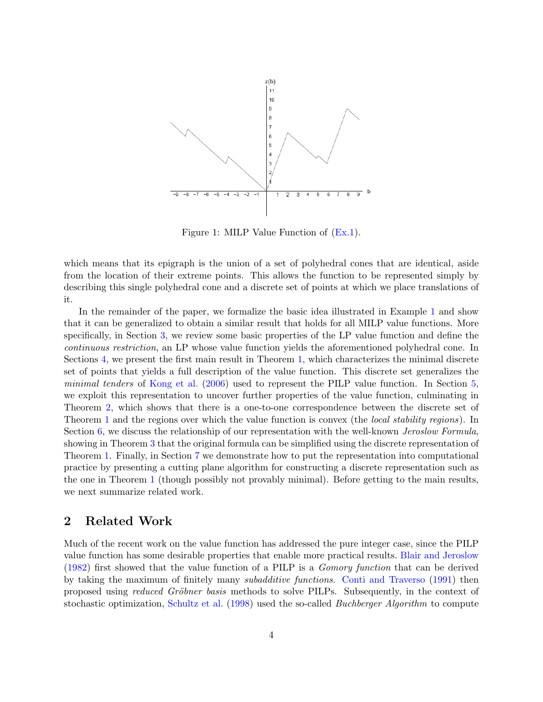<span id="page-3-0"></span>

Figure 1: MILP Value Function of [\(Ex.1\)](#page-2-2).

which means that its epigraph is the union of a set of polyhedral cones that are identical, aside from the location of their extreme points. This allows the function to be represented simply by describing this single polyhedral cone and a discrete set of points at which we place translations of it.

In the remainder of the paper, we formalize the basic idea illustrated in Example [1](#page-2-1) and show that it can be generalized to obtain a similar result that holds for all MILP value functions. More specifically, in Section [3,](#page-4-0) we review some basic properties of the LP value function and define the continuous restriction, an LP whose value function yields the aforementioned polyhedral cone. In Sections [4,](#page-7-0) we present the first main result in Theorem [1,](#page-16-0) which characterizes the minimal discrete set of points that yields a full description of the value function. This discrete set generalizes the minimal tenders of [Kong et al.](#page-32-1) [\(2006\)](#page-32-1) used to represent the PILP value function. In Section [5,](#page-17-0) we exploit this representation to uncover further properties of the value function, culminating in Theorem [2,](#page-17-1) which shows that there is a one-to-one correspondence between the discrete set of Theorem [1](#page-16-0) and the regions over which the value function is convex (the *local stability regions*). In Section [6,](#page-22-0) we discuss the relationship of our representation with the well-known *Jeroslow Formula*, showing in Theorem [3](#page-25-0) that the original formula can be simplified using the discrete representation of Theorem [1.](#page-16-0) Finally, in Section [7](#page-26-0) we demonstrate how to put the representation into computational practice by presenting a cutting plane algorithm for constructing a discrete representation such as the one in Theorem [1](#page-16-0) (though possibly not provably minimal). Before getting to the main results, we next summarize related work.

# 2 Related Work

Much of the recent work on the value function has addressed the pure integer case, since the PILP value function has some desirable properties that enable more practical results. [Blair and Jeroslow](#page-32-6) [\(1982\)](#page-32-6) first showed that the value function of a PILP is a Gomory function that can be derived by taking the maximum of finitely many subadditive functions. [Conti and Traverso](#page-32-7) [\(1991\)](#page-32-7) then proposed using *reduced Gröbner basis* methods to solve PILPs. Subsequently, in the context of stochastic optimization, [Schultz et al.](#page-32-0) [\(1998\)](#page-32-0) used the so-called *Buchberger Algorithm* to compute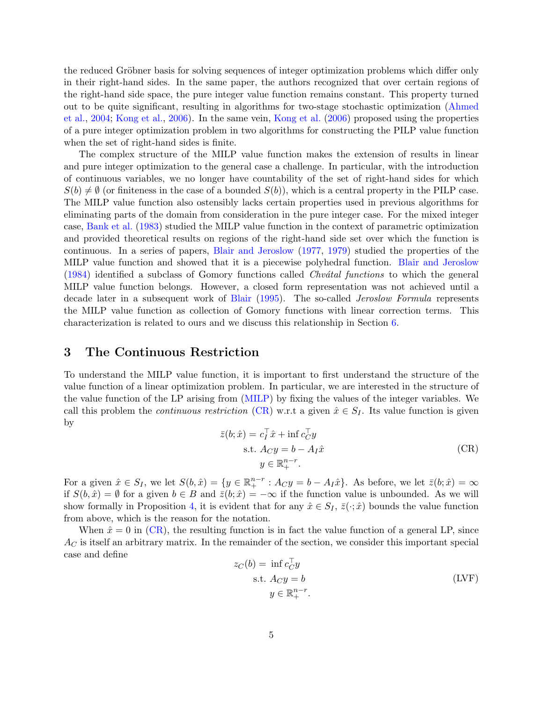the reduced Gröbner basis for solving sequences of integer optimization problems which differ only in their right-hand sides. In the same paper, the authors recognized that over certain regions of the right-hand side space, the pure integer value function remains constant. This property turned out to be quite significant, resulting in algorithms for two-stage stochastic optimization [\(Ahmed](#page-31-2) [et al.,](#page-31-2) [2004;](#page-31-2) [Kong et al.,](#page-32-1) [2006\)](#page-32-1). In the same vein, [Kong et al.](#page-32-1) [\(2006\)](#page-32-1) proposed using the properties of a pure integer optimization problem in two algorithms for constructing the PILP value function when the set of right-hand sides is finite.

The complex structure of the MILP value function makes the extension of results in linear and pure integer optimization to the general case a challenge. In particular, with the introduction of continuous variables, we no longer have countability of the set of right-hand sides for which  $S(b) \neq \emptyset$  (or finiteness in the case of a bounded  $S(b)$ ), which is a central property in the PILP case. The MILP value function also ostensibly lacks certain properties used in previous algorithms for eliminating parts of the domain from consideration in the pure integer case. For the mixed integer case, [Bank et al.](#page-31-3) [\(1983\)](#page-31-3) studied the MILP value function in the context of parametric optimization and provided theoretical results on regions of the right-hand side set over which the function is continuous. In a series of papers, [Blair and Jeroslow](#page-31-4) [\(1977,](#page-31-4) [1979\)](#page-31-5) studied the properties of the MILP value function and showed that it is a piecewise polyhedral function. [Blair and Jeroslow](#page-32-8)  $(1984)$  identified a subclass of Gomory functions called *Chvatal functions* to which the general MILP value function belongs. However, a closed form representation was not achieved until a decade later in a subsequent work of [Blair](#page-31-6) [\(1995\)](#page-31-6). The so-called Jeroslow Formula represents the MILP value function as collection of Gomory functions with linear correction terms. This characterization is related to ours and we discuss this relationship in Section [6.](#page-22-0)

# <span id="page-4-0"></span>3 The Continuous Restriction

To understand the MILP value function, it is important to first understand the structure of the value function of a linear optimization problem. In particular, we are interested in the structure of the value function of the LP arising from [\(MILP\)](#page-2-0) by fixing the values of the integer variables. We call this problem the *continuous restriction* [\(CR\)](#page-4-1) w.r.t a given  $\hat{x} \in S_I$ . Its value function is given by

<span id="page-4-1"></span>
$$
\bar{z}(b; \hat{x}) = c_I^{\top} \hat{x} + \inf c_C^{\top} y
$$
  
s.t.  $A_C y = b - A_I \hat{x}$   

$$
y \in \mathbb{R}_+^{n-r}.
$$
 (CR)

For a given  $\hat{x} \in S_I$ , we let  $S(b,\hat{x}) = \{y \in \mathbb{R}^{n-r}_+ : A_C y = b - A_I \hat{x}\}\$ . As before, we let  $\bar{z}(b;\hat{x}) = \infty$ if  $S(b, \hat{x}) = \emptyset$  for a given  $b \in B$  and  $\bar{z}(b; \hat{x}) = -\infty$  if the function value is unbounded. As we will show formally in Proposition [4,](#page-9-0) it is evident that for any  $\hat{x} \in S_I$ ,  $\bar{z}(\cdot; \hat{x})$  bounds the value function from above, which is the reason for the notation.

When  $\hat{x} = 0$  in [\(CR\)](#page-4-1), the resulting function is in fact the value function of a general LP, since  $A_C$  is itself an arbitrary matrix. In the remainder of the section, we consider this important special case and define

<span id="page-4-2"></span>
$$
z_C(b) = \inf_{C} c_C^{\top} y
$$
  
s.t.  $A_C y = b$   

$$
y \in \mathbb{R}^{n-r}_+.
$$
 (LVF)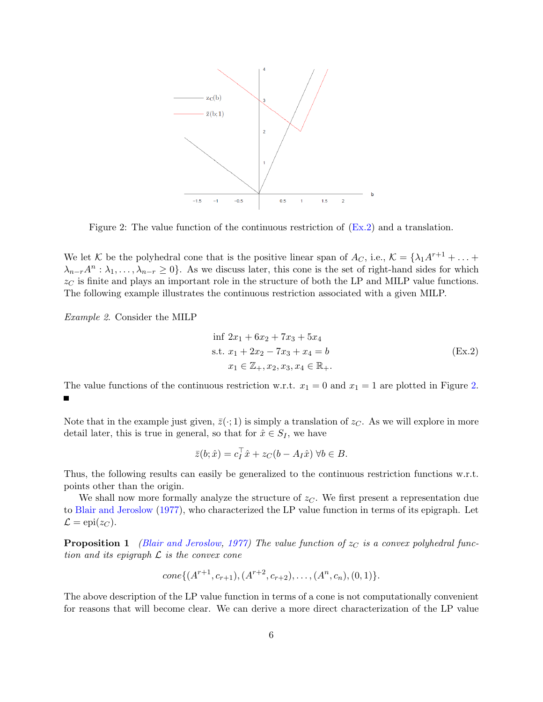<span id="page-5-1"></span>

Figure 2: The value function of the continuous restriction of [\(Ex.2\)](#page-5-0) and a translation.

We let K be the polyhedral cone that is the positive linear span of  $A_C$ , i.e.,  $K = \{\lambda_1 A^{r+1} + \ldots + \lambda_m\}$  $\lambda_{n-r}A^n: \lambda_1,\ldots,\lambda_{n-r}\geq 0$ . As we discuss later, this cone is the set of right-hand sides for which  $z_{\text{C}}$  is finite and plays an important role in the structure of both the LP and MILP value functions. The following example illustrates the continuous restriction associated with a given MILP.

Example 2. Consider the MILP

<span id="page-5-0"></span>
$$
\begin{aligned}\n\inf 2x_1 + 6x_2 + 7x_3 + 5x_4 \\
\text{s.t. } x_1 + 2x_2 - 7x_3 + x_4 &= b \\
x_1 \in \mathbb{Z}_+, x_2, x_3, x_4 \in \mathbb{R}_+.\n\end{aligned} \tag{Ex.2}
$$

The value functions of the continuous restriction w.r.t.  $x_1 = 0$  and  $x_1 = 1$  are plotted in Figure [2.](#page-5-1)  $\blacksquare$ 

Note that in the example just given,  $\bar{z}(\cdot; 1)$  is simply a translation of  $z_C$ . As we will explore in more detail later, this is true in general, so that for  $\hat{x} \in S_I$ , we have

$$
\bar{z}(b; \hat{x}) = c_I^{\top} \hat{x} + z_C(b - A_I \hat{x}) \ \forall b \in B.
$$

Thus, the following results can easily be generalized to the continuous restriction functions w.r.t. points other than the origin.

We shall now more formally analyze the structure of  $z<sub>C</sub>$ . We first present a representation due to [Blair and Jeroslow](#page-31-4) [\(1977\)](#page-31-4), who characterized the LP value function in terms of its epigraph. Let  $\mathcal{L} = \text{epi}(z_C).$ 

**Proposition 1** [\(Blair and Jeroslow,](#page-31-4) [1977\)](#page-31-4) The value function of  $z<sub>C</sub>$  is a convex polyhedral function and its epigraph  $\mathcal L$  is the convex cone

$$
cone\{(A^{r+1}, c_{r+1}), (A^{r+2}, c_{r+2}), \ldots, (A^n, c_n), (0, 1)\}.
$$

The above description of the LP value function in terms of a cone is not computationally convenient for reasons that will become clear. We can derive a more direct characterization of the LP value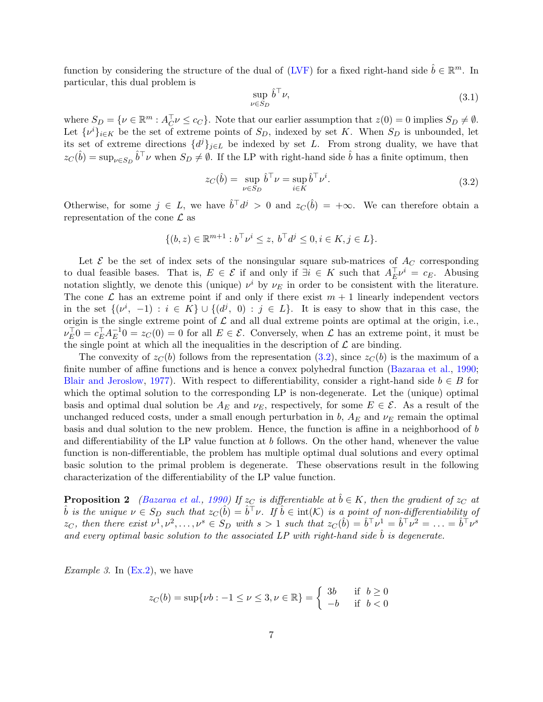function by considering the structure of the dual of [\(LVF\)](#page-4-2) for a fixed right-hand side  $\hat{b} \in \mathbb{R}^m$ . In particular, this dual problem is

$$
\sup_{\nu \in S_D} \hat{b}^\top \nu,\tag{3.1}
$$

where  $S_D = \{ \nu \in \mathbb{R}^m : A_C^{\top} \nu \leq c_C \}$ . Note that our earlier assumption that  $z(0) = 0$  implies  $S_D \neq \emptyset$ . Let  $\{\nu^i\}_{i\in K}$  be the set of extreme points of  $S_D$ , indexed by set K. When  $S_D$  is unbounded, let its set of extreme directions  $\{d^{j}\}_{j\in L}$  be indexed by set L. From strong duality, we have that  $z_C(\hat{b}) = \sup_{\nu \in S_D} \hat{b}^\top \nu$  when  $S_D \neq \emptyset$ . If the LP with right-hand side  $\hat{b}$  has a finite optimum, then

<span id="page-6-0"></span>
$$
z_C(\hat{b}) = \sup_{\nu \in S_D} \hat{b}^\top \nu = \sup_{i \in K} \hat{b}^\top \nu^i.
$$
\n(3.2)

Otherwise, for some  $j \in L$ , we have  $\hat{b}^\top d^j > 0$  and  $z_C(\hat{b}) = +\infty$ . We can therefore obtain a representation of the cone  $\mathcal L$  as

$$
\{(b, z) \in \mathbb{R}^{m+1} : b^{\top} \nu^i \le z, \ b^{\top} d^j \le 0, i \in K, j \in L\}.
$$

Let  $\mathcal E$  be the set of index sets of the nonsingular square sub-matrices of  $A_C$  corresponding to dual feasible bases. That is,  $E \in \mathcal{E}$  if and only if  $\exists i \in K$  such that  $A_{E}^{\top} \nu^{i} = c_{E}$ . Abusing notation slightly, we denote this (unique)  $\nu^i$  by  $\nu_E$  in order to be consistent with the literature. The cone  $\mathcal L$  has an extreme point if and only if there exist  $m+1$  linearly independent vectors in the set  $\{(\nu^i, -1) : i \in K\} \cup \{(d^j, 0) : j \in L\}.$  It is easy to show that in this case, the origin is the single extreme point of  $\mathcal L$  and all dual extreme points are optimal at the origin, i.e.,  $\nu_{E}^{\top}0 = c_{E}^{\top}A_{E}^{-1}$  $E^{-1}_E 0 = z_C(0) = 0$  for all  $E \in \mathcal{E}$ . Conversely, when  $\mathcal{L}$  has an extreme point, it must be the single point at which all the inequalities in the description of  $\mathcal L$  are binding.

The convexity of  $z<sub>C</sub>(b)$  follows from the representation [\(3.2\)](#page-6-0), since  $z<sub>C</sub>(b)$  is the maximum of a finite number of affine functions and is hence a convex polyhedral function [\(Bazaraa et al.,](#page-31-7) [1990;](#page-31-7) [Blair and Jeroslow,](#page-31-4) [1977\)](#page-31-4). With respect to differentiability, consider a right-hand side  $b \in B$  for which the optimal solution to the corresponding LP is non-degenerate. Let the (unique) optimal basis and optimal dual solution be  $A_E$  and  $\nu_E$ , respectively, for some  $E \in \mathcal{E}$ . As a result of the unchanged reduced costs, under a small enough perturbation in b,  $A_E$  and  $\nu_E$  remain the optimal basis and dual solution to the new problem. Hence, the function is affine in a neighborhood of b and differentiability of the LP value function at b follows. On the other hand, whenever the value function is non-differentiable, the problem has multiple optimal dual solutions and every optimal basic solution to the primal problem is degenerate. These observations result in the following characterization of the differentiability of the LP value function.

<span id="page-6-1"></span>**Proposition 2** [\(Bazaraa et al.,](#page-31-7) [1990\)](#page-31-7) If  $z<sub>C</sub>$  is differentiable at  $\ddot{b} \in K$ , then the gradient of  $z<sub>C</sub>$  at  $\hat{b}$  is the unique  $\nu \in S_D$  such that  $z_{\mathcal{C}}(\hat{b}) = \hat{b}^\top \nu$ . If  $\hat{b} \in \text{int}(\mathcal{K})$  is a point of non-differentiability of  $z_C$ , then there exist  $\nu^1, \nu^2, \ldots, \nu^s \in S_D$  with  $s > 1$  such that  $z_C(\hat{b}) = \hat{b}^\top \nu^1 = \hat{b}^\top \nu^2 = \ldots = \hat{b}^\top \nu^s$ and every optimal basic solution to the associated LP with right-hand side  $\hat{b}$  is degenerate.

*Example 3.* In  $(Ex.2)$ , we have

$$
z_C(b) = \sup\{\nu b : -1 \le \nu \le 3, \nu \in \mathbb{R}\} = \begin{cases} 3b & \text{if } b \ge 0\\ -b & \text{if } b < 0 \end{cases}
$$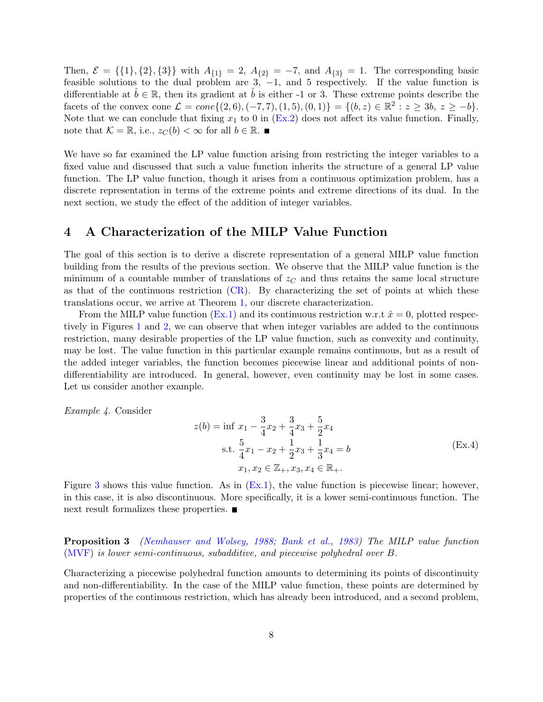Then,  $\mathcal{E} = \{\{1\}, \{2\}, \{3\}\}\$  with  $A_{\{1\}} = 2$ ,  $A_{\{2\}} = -7$ , and  $A_{\{3\}} = 1$ . The corresponding basic feasible solutions to the dual problem are 3,  $-1$ , and 5 respectively. If the value function is differentiable at  $b \in \mathbb{R}$ , then its gradient at b is either -1 or 3. These extreme points describe the facets of the convex cone  $\mathcal{L} = cone\{(2,6), (-7,7), (1,5), (0,1)\} = \{(b, z) \in \mathbb{R}^2 : z \geq 3b, z \geq -b\}.$ Note that we can conclude that fixing  $x_1$  to 0 in [\(Ex.2\)](#page-5-0) does not affect its value function. Finally, note that  $\mathcal{K} = \mathbb{R}$ , i.e.,  $z_C(b) < \infty$  for all  $b \in \mathbb{R}$ .

We have so far examined the LP value function arising from restricting the integer variables to a fixed value and discussed that such a value function inherits the structure of a general LP value function. The LP value function, though it arises from a continuous optimization problem, has a discrete representation in terms of the extreme points and extreme directions of its dual. In the next section, we study the effect of the addition of integer variables.

## <span id="page-7-0"></span>4 A Characterization of the MILP Value Function

The goal of this section is to derive a discrete representation of a general MILP value function building from the results of the previous section. We observe that the MILP value function is the minimum of a countable number of translations of  $z<sub>C</sub>$  and thus retains the same local structure as that of the continuous restriction [\(CR\)](#page-4-1). By characterizing the set of points at which these translations occur, we arrive at Theorem [1,](#page-16-0) our discrete characterization.

From the MILP value function [\(Ex.1\)](#page-2-2) and its continuous restriction w.r.t  $\hat{x} = 0$ , plotted respectively in Figures [1](#page-3-0) and [2,](#page-5-1) we can observe that when integer variables are added to the continuous restriction, many desirable properties of the LP value function, such as convexity and continuity, may be lost. The value function in this particular example remains continuous, but as a result of the added integer variables, the function becomes piecewise linear and additional points of nondifferentiability are introduced. In general, however, even continuity may be lost in some cases. Let us consider another example.

Example 4. Consider

<span id="page-7-2"></span><span id="page-7-1"></span>
$$
z(b) = \inf x_1 - \frac{3}{4}x_2 + \frac{3}{4}x_3 + \frac{5}{2}x_4
$$
  
s.t.  $\frac{5}{4}x_1 - x_2 + \frac{1}{2}x_3 + \frac{1}{3}x_4 = b$   
 $x_1, x_2 \in \mathbb{Z}_+, x_3, x_4 \in \mathbb{R}_+.$  (Ex.4)

Figure [3](#page-8-0) shows this value function. As in [\(Ex.1\)](#page-2-2), the value function is piecewise linear; however, in this case, it is also discontinuous. More specifically, it is a lower semi-continuous function. The next result formalizes these properties.

Proposition 3 [\(Nemhauser and Wolsey,](#page-32-5) [1988;](#page-32-5) [Bank et al.,](#page-31-3) [1983\)](#page-31-3) The MILP value function [\(MVF\)](#page-2-1) is lower semi-continuous, subadditive, and piecewise polyhedral over B.

Characterizing a piecewise polyhedral function amounts to determining its points of discontinuity and non-differentiability. In the case of the MILP value function, these points are determined by properties of the continuous restriction, which has already been introduced, and a second problem,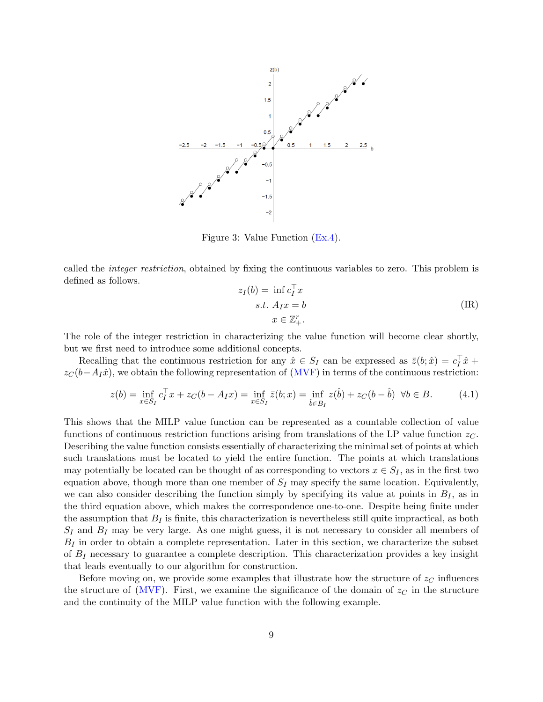<span id="page-8-0"></span>

Figure 3: Value Function [\(Ex.4\)](#page-7-1).

called the integer restriction, obtained by fixing the continuous variables to zero. This problem is defined as follows.

$$
z_I(b) = \inf c_I^{\top} x
$$
  
s.t.  $A_I x = b$   

$$
x \in \mathbb{Z}_+^r.
$$
 (IR)

The role of the integer restriction in characterizing the value function will become clear shortly, but we first need to introduce some additional concepts.

Recalling that the continuous restriction for any  $\hat{x} \in S_I$  can be expressed as  $\bar{z}(b; \hat{x}) = c_I^{\top} \hat{x} + c_I^{\top} \hat{x}$  $z<sub>C</sub>(b-A<sub>I</sub>x<sup>î</sup>)$ , we obtain the following representation of [\(MVF\)](#page-2-1) in terms of the continuous restriction:

$$
z(b) = \inf_{x \in S_I} c_I^{\top} x + z_C(b - A_I x) = \inf_{x \in S_I} \bar{z}(b; x) = \inf_{\hat{b} \in B_I} z(\hat{b}) + z_C(b - \hat{b}) \quad \forall b \in B. \tag{4.1}
$$

This shows that the MILP value function can be represented as a countable collection of value functions of continuous restriction functions arising from translations of the LP value function  $z<sub>C</sub>$ . Describing the value function consists essentially of characterizing the minimal set of points at which such translations must be located to yield the entire function. The points at which translations may potentially be located can be thought of as corresponding to vectors  $x \in S_I$ , as in the first two equation above, though more than one member of  $S_I$  may specify the same location. Equivalently, we can also consider describing the function simply by specifying its value at points in  $B_I$ , as in the third equation above, which makes the correspondence one-to-one. Despite being finite under the assumption that  $B_I$  is finite, this characterization is nevertheless still quite impractical, as both  $S_I$  and  $B_I$  may be very large. As one might guess, it is not necessary to consider all members of  $B_I$  in order to obtain a complete representation. Later in this section, we characterize the subset of  $B_I$  necessary to guarantee a complete description. This characterization provides a key insight that leads eventually to our algorithm for construction.

Before moving on, we provide some examples that illustrate how the structure of  $z<sub>C</sub>$  influences the structure of [\(MVF\)](#page-2-1). First, we examine the significance of the domain of  $z<sub>C</sub>$  in the structure and the continuity of the MILP value function with the following example.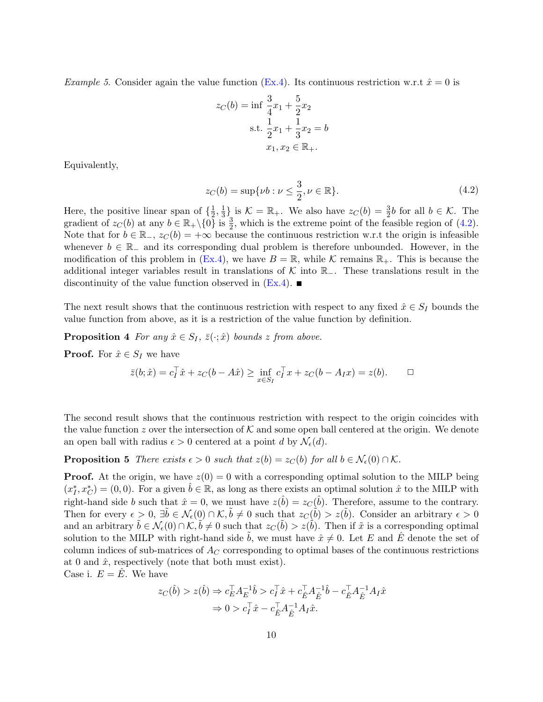*Example 5.* Consider again the value function [\(Ex.4\)](#page-7-1). Its continuous restriction w.r.t  $\hat{x} = 0$  is

<span id="page-9-1"></span>
$$
z_C(b) = \inf \frac{3}{4}x_1 + \frac{5}{2}x_2
$$
  
s.t.  $\frac{1}{2}x_1 + \frac{1}{3}x_2 = b$   
 $x_1, x_2 \in \mathbb{R}_+$ .

Equivalently,

<span id="page-9-0"></span>
$$
z_C(b) = \sup \{ \nu b : \nu \le \frac{3}{2}, \nu \in \mathbb{R} \}. \tag{4.2}
$$

Here, the positive linear span of  $\{\frac{1}{2}\}$  $\frac{1}{2}, \frac{1}{3}$  $\frac{1}{3}$  is  $\mathcal{K} = \mathbb{R}_+$ . We also have  $z_C(b) = \frac{3}{2}b$  for all  $b \in \mathcal{K}$ . The gradient of  $z_C(b)$  at any  $b \in \mathbb{R}_+ \setminus \{0\}$  is  $\frac{3}{2}$ , which is the extreme point of the feasible region of [\(4.2\)](#page-9-1). Note that for  $b \in \mathbb{R}_+$ ,  $z_C(b) = +\infty$  because the continuous restriction w.r.t the origin is infeasible whenever  $b \in \mathbb{R}_-$  and its corresponding dual problem is therefore unbounded. However, in the modification of this problem in [\(Ex.4\)](#page-7-1), we have  $B = \mathbb{R}$ , while K remains  $\mathbb{R}_+$ . This is because the additional integer variables result in translations of K into  $\mathbb{R}_-$ . These translations result in the discontinuity of the value function observed in  $(E_{\rm X}.4)$ .

The next result shows that the continuous restriction with respect to any fixed  $\hat{x} \in S_I$  bounds the value function from above, as it is a restriction of the value function by definition.

**Proposition 4** For any  $\hat{x} \in S_I$ ,  $\bar{z}(\cdot; \hat{x})$  bounds z from above.

**Proof.** For  $\hat{x} \in S_I$  we have

<span id="page-9-2"></span>
$$
\bar{z}(b; \hat{x}) = c_I^{\top} \hat{x} + z_C(b - A\hat{x}) \ge \inf_{x \in S_I} c_I^{\top} x + z_C(b - A_I x) = z(b). \quad \Box
$$

The second result shows that the continuous restriction with respect to the origin coincides with the value function z over the intersection of K and some open ball centered at the origin. We denote an open ball with radius  $\epsilon > 0$  centered at a point d by  $\mathcal{N}_{\epsilon}(d)$ .

**Proposition 5** There exists  $\epsilon > 0$  such that  $z(b) = z<sub>C</sub>(b)$  for all  $b \in \mathcal{N}_{\epsilon}(0) \cap \mathcal{K}$ .

**Proof.** At the origin, we have  $z(0) = 0$  with a corresponding optimal solution to the MILP being  $(x_I^*, x_C^*) = (0,0)$ . For a given  $\hat{b} \in \mathbb{R}$ , as long as there exists an optimal solution  $\hat{x}$  to the MILP with right-hand side b such that  $\hat{x} = 0$ , we must have  $z(\hat{b}) = z_C(\hat{b})$ . Therefore, assume to the contrary. Then for every  $\epsilon > 0$ ,  $\exists \tilde{b} \in \mathcal{N}_{\epsilon}(0) \cap \mathcal{K}, \tilde{b} \neq 0$  such that  $z_{\mathcal{C}}(\tilde{b}) > z(\tilde{b})$ . Consider an arbitrary  $\epsilon > 0$ and an arbitrary  $\tilde{b} \in \mathcal{N}_{\epsilon}(0) \cap \mathcal{K}, \tilde{b} \neq 0$  such that  $z_{C}(\tilde{b}) > z(\tilde{b})$ . Then if  $\tilde{x}$  is a corresponding optimal solution to the MILP with right-hand side b, we must have  $\hat{x} \neq 0$ . Let E and E<sup> $\hat{E}$ </sup> denote the set of column indices of sub-matrices of  $A_C$  corresponding to optimal bases of the continuous restrictions at 0 and  $\hat{x}$ , respectively (note that both must exist). Case i.  $E = \hat{E}$ . We have

$$
\begin{split} z_C(\hat{b}) > z(\hat{b}) &\Rightarrow c_E^\top A_E^{-1} \hat{b} > c_I^\top \hat{x} + c_E^\top A_{\hat{E}}^{-1} \hat{b} - c_E^\top A_{\hat{E}}^{-1} A_I \hat{x} \\ &\Rightarrow 0 > c_I^\top \hat{x} - c_{\hat{E}}^\top A_{\hat{E}}^{-1} A_I \hat{x}. \end{split}
$$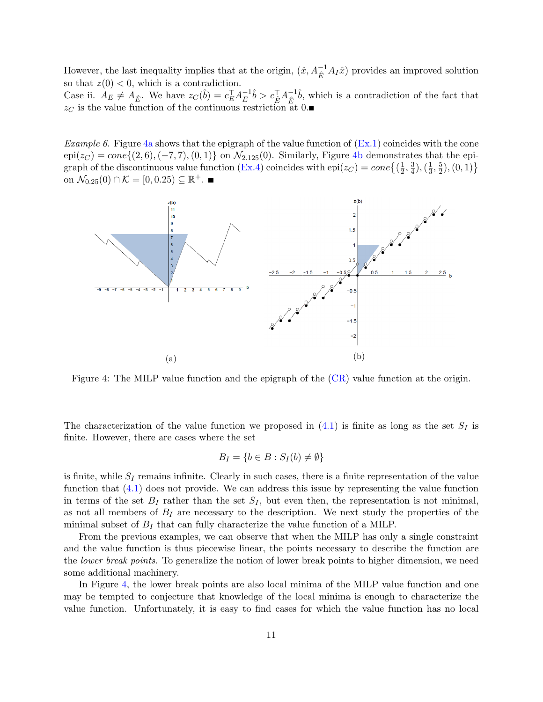However, the last inequality implies that at the origin,  $(\hat{x}, A_{\hat{E}}^{-1}A_{I}\hat{x})$  provides an improved solution so that  $z(0) < 0$ , which is a contradiction. Case ii.  $A_E \neq A_{\hat{E}}$ . We have  $z_C(\hat{b}) = c_E^{\top} A_E^{-1}$  $\bar{c}_E^{-1}\hat{b} > c_E^\top A_E^{-1}$  $\hat{E}^{-1}\hat{b}$ , which is a contradiction of the fact that  $z<sub>C</sub>$  is the value function of the continuous restriction at 0.

*Example 6.* Figure [4a](#page-10-0) shows that the epigraph of the value function of  $(Ex.1)$  coincides with the cone  $epi(z_C) = cone\{(2, 6), (-7, 7), (0, 1)\}$  on  $\mathcal{N}_{2.125}(0)$ . Similarly, Figure [4b](#page-10-0) demonstrates that the epi-graph of the discontinuous value function [\(Ex.4\)](#page-7-1) coincides with  $epi(z_C) = cone\left\{\left(\frac{1}{2}\right)$  $\frac{1}{2}, \frac{3}{4}$  $(\frac{3}{4}), (\frac{1}{3})$  $\frac{1}{3}, \frac{5}{2}$  $\frac{5}{2}$ ,  $(0, 1)$ } on  $\mathcal{N}_{0.25}(0) \cap \mathcal{K} = [0, 0.25) \subseteq \mathbb{R}^+.$ 

<span id="page-10-0"></span>

Figure 4: The MILP value function and the epigraph of the [\(CR\)](#page-4-1) value function at the origin.

<span id="page-10-1"></span>The characterization of the value function we proposed in  $(4.1)$  is finite as long as the set  $S_I$  is finite. However, there are cases where the set

$$
B_I = \{b \in B : S_I(b) \neq \emptyset\}
$$

is finite, while  $S_I$  remains infinite. Clearly in such cases, there is a finite representation of the value function that  $(4.1)$  does not provide. We can address this issue by representing the value function in terms of the set  $B_I$  rather than the set  $S_I$ , but even then, the representation is not minimal, as not all members of  $B_I$  are necessary to the description. We next study the properties of the minimal subset of  $B_I$  that can fully characterize the value function of a MILP.

From the previous examples, we can observe that when the MILP has only a single constraint and the value function is thus piecewise linear, the points necessary to describe the function are the *lower break points*. To generalize the notion of lower break points to higher dimension, we need some additional machinery.

In Figure [4,](#page-10-0) the lower break points are also local minima of the MILP value function and one may be tempted to conjecture that knowledge of the local minima is enough to characterize the value function. Unfortunately, it is easy to find cases for which the value function has no local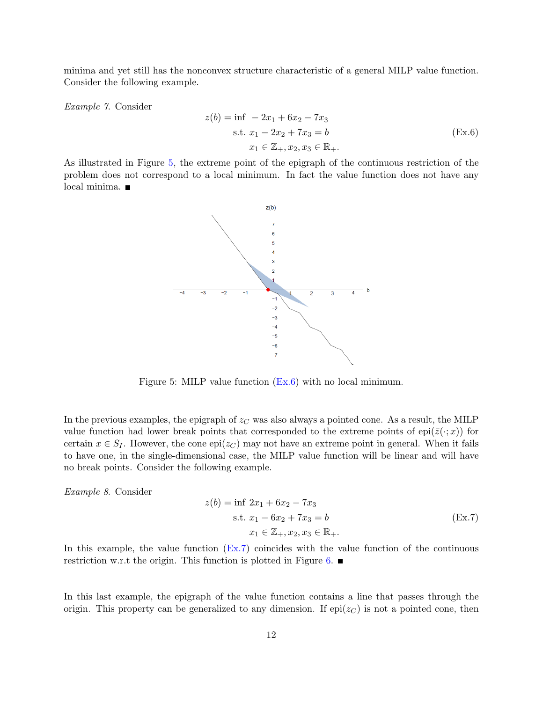minima and yet still has the nonconvex structure characteristic of a general MILP value function. Consider the following example.

Example 7. Consider

<span id="page-11-1"></span>
$$
z(b) = \inf -2x_1 + 6x_2 - 7x_3
$$
  
s.t.  $x_1 - 2x_2 + 7x_3 = b$   
 $x_1 \in \mathbb{Z}_+, x_2, x_3 \in \mathbb{R}_+$ . (Ex.6)

<span id="page-11-0"></span>As illustrated in Figure [5,](#page-11-0) the extreme point of the epigraph of the continuous restriction of the problem does not correspond to a local minimum. In fact the value function does not have any local minima.



Figure 5: MILP value function [\(Ex.6\)](#page-11-1) with no local minimum.

In the previous examples, the epigraph of  $z<sub>C</sub>$  was also always a pointed cone. As a result, the MILP value function had lower break points that corresponded to the extreme points of epi( $\overline{z}(\cdot;x)$ ) for certain  $x \in S_I$ . However, the cone epi( $z_C$ ) may not have an extreme point in general. When it fails to have one, in the single-dimensional case, the MILP value function will be linear and will have no break points. Consider the following example.

Example 8. Consider

<span id="page-11-2"></span>
$$
z(b) = \inf 2x_1 + 6x_2 - 7x_3
$$
  
s.t.  $x_1 - 6x_2 + 7x_3 = b$   
 $x_1 \in \mathbb{Z}_+, x_2, x_3 \in \mathbb{R}_+$ . (Ex.7)

In this example, the value function [\(Ex.7\)](#page-11-2) coincides with the value function of the continuous restriction w.r.t the origin. This function is plotted in Figure [6.](#page-12-0)  $\blacksquare$ 

In this last example, the epigraph of the value function contains a line that passes through the origin. This property can be generalized to any dimension. If  $epi(z_C)$  is not a pointed cone, then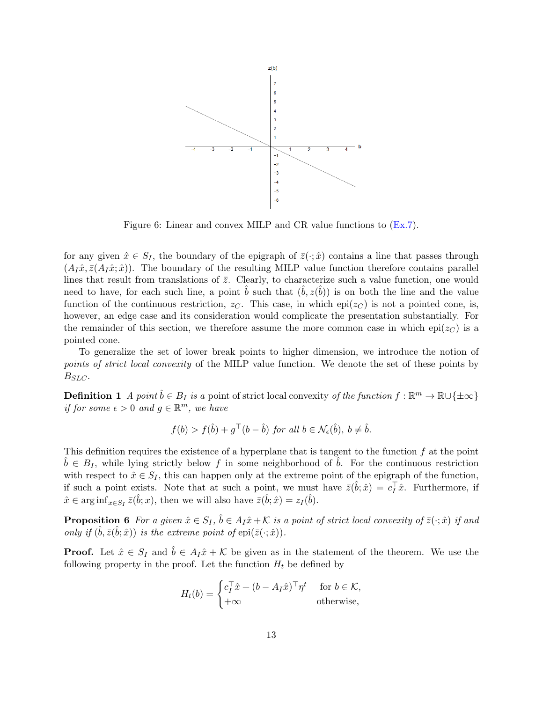<span id="page-12-0"></span>

Figure 6: Linear and convex MILP and CR value functions to  $(E_{X.7})$ .

for any given  $\hat{x} \in S_I$ , the boundary of the epigraph of  $\bar{z}(\cdot; \hat{x})$  contains a line that passes through  $(A_I\hat{x}, \bar{z}(A_I\hat{x}; \hat{x}))$ . The boundary of the resulting MILP value function therefore contains parallel lines that result from translations of  $\bar{z}$ . Clearly, to characterize such a value function, one would need to have, for each such line, a point  $\hat{b}$  such that  $(\hat{b}, z(\hat{b}))$  is on both the line and the value function of the continuous restriction,  $z_C$ . This case, in which epi( $z_C$ ) is not a pointed cone, is, however, an edge case and its consideration would complicate the presentation substantially. For the remainder of this section, we therefore assume the more common case in which epi( $z<sub>C</sub>$ ) is a pointed cone.

To generalize the set of lower break points to higher dimension, we introduce the notion of points of strict local convexity of the MILP value function. We denote the set of these points by  $B_{SLC}$ .

**Definition 1** A point  $\hat{b} \in B_I$  is a point of strict local convexity of the function  $f : \mathbb{R}^m \to \mathbb{R} \cup \{\pm \infty\}$ if for some  $\epsilon > 0$  and  $g \in \mathbb{R}^m$ , we have

<span id="page-12-1"></span>
$$
f(b) > f(\hat{b}) + g^{\top}(b - \hat{b}) \text{ for all } b \in \mathcal{N}_{\epsilon}(\hat{b}), \ b \neq \hat{b}.
$$

This definition requires the existence of a hyperplane that is tangent to the function  $f$  at the point  $b \in B_I$ , while lying strictly below f in some neighborhood of b. For the continuous restriction with respect to  $\hat{x} \in S_I$ , this can happen only at the extreme point of the epigraph of the function, if such a point exists. Note that at such a point, we must have  $\bar{z}(\hat{b}; \hat{x}) = c_I^{\dagger} \hat{x}$ . Furthermore, if  $\hat{x} \in \arg\inf_{x \in S_I} \bar{z}(\hat{b}; x)$ , then we will also have  $\bar{z}(\hat{b}; \hat{x}) = z_I(\hat{b})$ .

**Proposition 6** For a given  $\hat{x} \in S_I$ ,  $\hat{b} \in A_I\hat{x} + \mathcal{K}$  is a point of strict local convexity of  $\bar{z}(\cdot;\hat{x})$  if and only if  $(\hat{b}, \bar{z}(\hat{b}; \hat{x}))$  is the extreme point of  $epi(\bar{z}(\cdot; \hat{x}))$ .

**Proof.** Let  $\hat{x} \in S_I$  and  $b \in A_I\hat{x} + \mathcal{K}$  be given as in the statement of the theorem. We use the following property in the proof. Let the function  $H_t$  be defined by

$$
H_t(b) = \begin{cases} c_I^\top \hat{x} + (b - A_I \hat{x})^\top \eta^t & \text{for } b \in \mathcal{K}, \\ +\infty & \text{otherwise}, \end{cases}
$$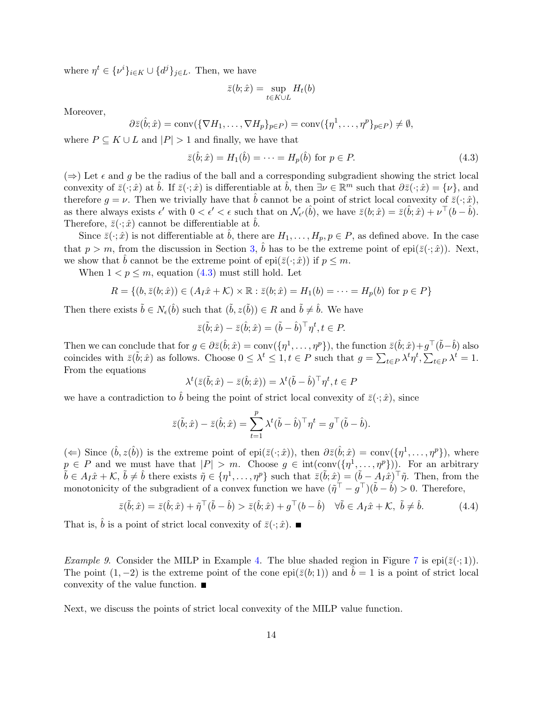where  $\eta^t \in {\{\nu^i\}}_{i \in K} \cup {\{d^j\}}_{j \in L}$ . Then, we have

$$
\bar{z}(b; \hat{x}) = \sup_{t \in K \cup L} H_t(b)
$$

Moreover,

$$
\partial \bar{z}(\hat{b};\hat{x}) = \text{conv}(\{\nabla H_1,\ldots,\nabla H_p\}_{p\in P}) = \text{conv}(\{\eta^1,\ldots,\eta^p\}_{p\in P}) \neq \emptyset,
$$

where  $P \subseteq K \cup L$  and  $|P| > 1$  and finally, we have that

$$
\bar{z}(\hat{b};\hat{x}) = H_1(\hat{b}) = \dots = H_p(\hat{b}) \text{ for } p \in P. \tag{4.3}
$$

( $\Rightarrow$ ) Let  $\epsilon$  and g be the radius of the ball and a corresponding subgradient showing the strict local convexity of  $\bar{z}(\cdot;\hat{x})$  at  $\hat{b}$ . If  $\bar{z}(\cdot;\hat{x})$  is differentiable at  $\hat{b}$ , then  $\exists \nu \in \mathbb{R}^m$  such that  $\partial \bar{z}(\cdot;\hat{x}) = {\nu}$ , and therefore  $g = \nu$ . Then we trivially have that  $\hat{b}$  cannot be a point of strict local convexity of  $\bar{z}(\cdot; \hat{x})$ , as there always exists  $\epsilon'$  with  $0 < \epsilon' < \epsilon$  such that on  $\mathcal{N}_{\epsilon'}(\hat{b})$ , we have  $\bar{z}(b; \hat{x}) = \bar{z}(\hat{b}; \hat{x}) + \nu^{\top} (b - \hat{b})$ . Therefore,  $\bar{z}(\cdot; \hat{x})$  cannot be differentiable at  $\hat{b}$ .

Since  $\bar{z}(\cdot;\hat{x})$  is not differentiable at  $\bar{b}$ , there are  $H_1,\ldots,H_p, p \in P$ , as defined above. In the case that  $p > m$ , from the discussion in Section [3,](#page-4-0)  $\hat{b}$  has to be the extreme point of epi $(\bar{z}(\cdot;\hat{x}))$ . Next, we show that  $\hat{b}$  cannot be the extreme point of epi $(\bar{z}(\cdot; \hat{x}))$  if  $p \leq m$ .

When  $1 < p \leq m$ , equation [\(4.3\)](#page-9-2) must still hold. Let

$$
R = \{ (b, \bar{z}(b; \hat{x})) \in (A_I \hat{x} + \mathcal{K}) \times \mathbb{R} : \bar{z}(b; \hat{x}) = H_1(b) = \dots = H_p(b) \text{ for } p \in P \}
$$

Then there exists  $\tilde{b} \in N_{\epsilon}(\hat{b})$  such that  $(\tilde{b}, z(\tilde{b})) \in R$  and  $\tilde{b} \neq \hat{b}$ . We have

$$
\bar{z}(\tilde{b};\hat{x}) - \bar{z}(\hat{b};\hat{x}) = (\tilde{b} - \hat{b})^{\top} \eta^{t}, t \in P.
$$

Then we can conclude that for  $g \in \partial \bar{z}(\hat{b}; \hat{x}) = \text{conv}(\{\eta^1, \dots, \eta^p\})$ , the function  $\bar{z}(\hat{b}; \hat{x}) + g^{\top}(\tilde{b} - \hat{b})$  also coincides with  $\bar{z}(\tilde{b}; \hat{x})$  as follows. Choose  $0 \leq \lambda^t \leq 1, t \in P$  such that  $g = \sum_{t \in P} \lambda^t \eta^t$ ,  $\sum_{t \in P} \lambda^t = 1$ . From the equations

$$
\lambda^{t}(\bar{z}(\tilde{b};\hat{x}) - \bar{z}(\hat{b};\hat{x})) = \lambda^{t}(\tilde{b} - \hat{b})^{\top}\eta^{t}, t \in P
$$

we have a contradiction to  $\hat{b}$  being the point of strict local convexity of  $\bar{z}(\cdot;\hat{x})$ , since

$$
\bar{z}(\tilde{b};\hat{x}) - \bar{z}(\hat{b};\hat{x}) = \sum_{t=1}^{p} \lambda^t (\tilde{b} - \hat{b})^\top \eta^t = g^\top (\tilde{b} - \hat{b}).
$$

(←) Since  $(\hat{b}, z(\hat{b}))$  is the extreme point of epi $(\bar{z}(\cdot; \hat{x}))$ , then  $\partial \bar{z}(\hat{b}; \hat{x}) = \text{conv}(\{\eta^1, \ldots, \eta^p\})$ , where  $p \in P$  and we must have that  $|P| > m$ . Choose  $g \in \text{int}(\text{conv}(\{\eta^1,\ldots,\eta^p\}))$ . For an arbitrary  $\tilde{b} \in A_I \hat{x} + \mathcal{K}, \tilde{b} \neq \hat{b}$  there exists  $\tilde{\eta} \in {\{\eta^1,\ldots,\eta^p\}}$  such that  $\tilde{z}(\tilde{b}; \hat{x}) = (\tilde{b} - A_I \hat{x})^\top \tilde{\eta}$ . Then, from the monotonicity of the subgradient of a convex function we have  $(\tilde{\eta}^{\top} - g^{\top})(\tilde{b} - \hat{b}) > 0$ . Therefore,

$$
\bar{z}(\tilde{b};\hat{x}) = \bar{z}(\hat{b};\hat{x}) + \tilde{\eta}^{\top}(\tilde{b} - \hat{b}) > \bar{z}(\hat{b};\hat{x}) + g^{\top}(b - \hat{b}) \quad \forall \tilde{b} \in A_{I}\hat{x} + \mathcal{K}, \ \tilde{b} \neq \hat{b}.
$$
 (4.4)

That is,  $\hat{b}$  is a point of strict local convexity of  $\bar{z}(\cdot; \hat{x})$ .

*Example 9.* Consider the MILP in Example [4.](#page-10-1) The blue shaded region in Figure [7](#page-14-0) is epi $(\bar{z}(\cdot; 1))$ . The point  $(1, -2)$  is the extreme point of the cone epi $(\bar{z}(b; 1))$  and  $b = 1$  is a point of strict local convexity of the value function.  $\blacksquare$ 

<span id="page-13-0"></span>Next, we discuss the points of strict local convexity of the MILP value function.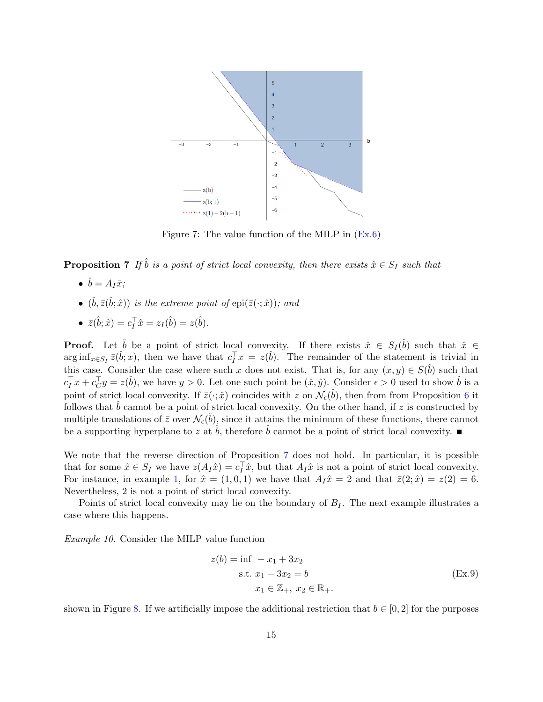<span id="page-14-0"></span>

Figure 7: The value function of the MILP in  $(Ex.6)$ 

**Proposition 7** If  $\hat{b}$  is a point of strict local convexity, then there exists  $\hat{x} \in S_I$  such that

- $\bullet$   $\hat{b} = A_I \hat{x}$ ;
- $(\hat{b}, \bar{z}(\hat{b}; \hat{x}))$  is the extreme point of  $epi(\bar{z}(\cdot; \hat{x}))$ ; and
- $\bar{z}(\hat{b}; \hat{x}) = c_I^{\top} \hat{x} = z_I(\hat{b}) = z(\hat{b}).$

**Proof.** Let  $\hat{b}$  be a point of strict local convexity. If there exists  $\hat{x} \in S_I(\hat{b})$  such that  $\hat{x} \in \hat{b}$  $\arg \inf_{x \in S_I} \bar{z}(\hat{b}; x)$ , then we have that  $c_I^{\top} x = z(\hat{b})$ . The remainder of the statement is trivial in this case. Consider the case where such x does not exist. That is, for any  $(x, y) \in S(\hat{b})$  such that  $c_I^{\top} x + c_C^{\top} y = z(\hat{b})$ , we have  $y > 0$ . Let one such point be  $(\hat{x}, \hat{y})$ . Consider  $\epsilon > 0$  used to show  $\hat{b}$  is a point of strict local convexity. If  $\bar{z}(\cdot;\hat{x})$  coincides with z on  $\mathcal{N}_{\epsilon}(\hat{b})$ , then from Proposition [6](#page-12-1) it follows that  $\hat{b}$  cannot be a point of strict local convexity. On the other hand, if z is constructed by multiple translations of  $\bar{z}$  over  $\mathcal{N}_{\epsilon}(\hat{b})$ , since it attains the minimum of these functions, there cannot be a supporting hyperplane to z at  $\dot{b}$ , therefore  $\dot{b}$  cannot be a point of strict local convexity.

We note that the reverse direction of Proposition [7](#page-13-0) does not hold. In particular, it is possible that for some  $\hat{x} \in S_I$  we have  $z(A_I \hat{x}) = c_I^{\top} \hat{x}$ , but that  $A_I \hat{x}$  is not a point of strict local convexity. For instance, in example [1,](#page-2-1) for  $\hat{x} = (1, 0, 1)$  we have that  $A_I\hat{x} = 2$  and that  $\bar{z}(2; \hat{x}) = z(2) = 6$ . Nevertheless, 2 is not a point of strict local convexity.

Points of strict local convexity may lie on the boundary of  $B_I$ . The next example illustrates a case where this happens.

Example 10. Consider the MILP value function

<span id="page-14-1"></span>
$$
z(b) = \inf -x_1 + 3x_2
$$
  
s.t.  $x_1 - 3x_2 = b$   
 $x_1 \in \mathbb{Z}_+, x_2 \in \mathbb{R}_+.$  (Ex.9)

shown in Figure [8.](#page-15-0) If we artificially impose the additional restriction that  $b \in [0, 2]$  for the purposes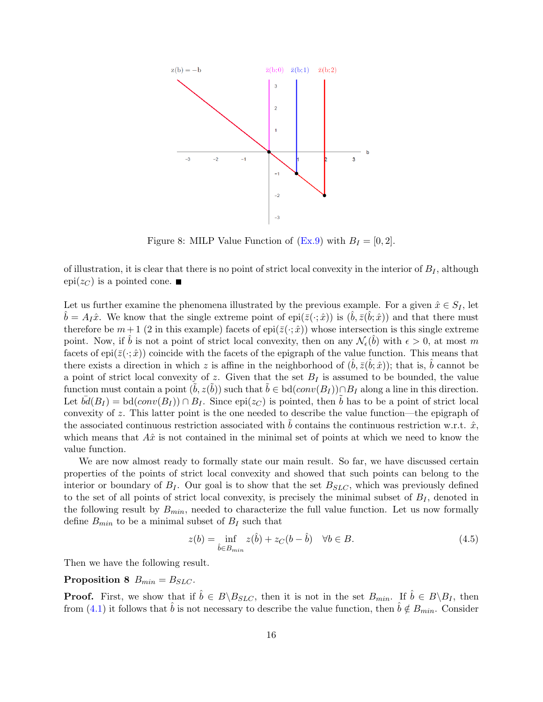<span id="page-15-0"></span>

Figure 8: MILP Value Function of  $(Ex.9)$  with  $B<sub>I</sub> = [0, 2]$ .

of illustration, it is clear that there is no point of strict local convexity in the interior of  $B<sub>I</sub>$ , although epi $(z_C)$  is a pointed cone.

Let us further examine the phenomena illustrated by the previous example. For a given  $\hat{x} \in S_I$ , let  $\hat{b} = A_I \hat{x}$ . We know that the single extreme point of epi $(\bar{z}(\cdot; \hat{x}))$  is  $(\hat{b}, \bar{z}(\hat{b}; \hat{x}))$  and that there must therefore be  $m+1$  (2 in this example) facets of epi( $\overline{z}(\cdot;\hat{x})$ ) whose intersection is this single extreme point. Now, if  $\hat{b}$  is not a point of strict local convexity, then on any  $\mathcal{N}_{\epsilon}(\hat{b})$  with  $\epsilon > 0$ , at most m facets of epi $(\bar{z}(\cdot;\hat{x}))$  coincide with the facets of the epigraph of the value function. This means that there exists a direction in which z is affine in the neighborhood of  $(\hat{b}, \bar{z}(\hat{b}; \hat{x}))$ ; that is,  $\hat{b}$  cannot be a point of strict local convexity of z. Given that the set  $B_I$  is assumed to be bounded, the value function must contain a point  $(\tilde{b}, z(\tilde{b}))$  such that  $\tilde{b} \in bd(conv(B_I)) \cap B_I$  along a line in this direction. Let  $\overline{bd}(B_I) = \text{bd}(conv(B_I)) \cap B_I$ . Since  $\text{epi}(z_C)$  is pointed, then b has to be a point of strict local convexity of  $z$ . This latter point is the one needed to describe the value function—the epigraph of the associated continuous restriction associated with b contains the continuous restriction w.r.t.  $\hat{x}$ , which means that  $A\hat{x}$  is not contained in the minimal set of points at which we need to know the value function.

We are now almost ready to formally state our main result. So far, we have discussed certain properties of the points of strict local convexity and showed that such points can belong to the interior or boundary of  $B<sub>I</sub>$ . Our goal is to show that the set  $B<sub>SLC</sub>$ , which was previously defined to the set of all points of strict local convexity, is precisely the minimal subset of  $B<sub>I</sub>$ , denoted in the following result by  $B_{min}$ , needed to characterize the full value function. Let us now formally define  $B_{min}$  to be a minimal subset of  $B_I$  such that

<span id="page-15-1"></span>
$$
z(b) = \inf_{\hat{b} \in B_{min}} z(\hat{b}) + z_C(b - \hat{b}) \quad \forall b \in B.
$$
\n
$$
(4.5)
$$

Then we have the following result.

Proposition 8  $B_{min} = B_{SLC}$ .

**Proof.** First, we show that if  $\hat{b} \in B \backslash B_{SLC}$ , then it is not in the set  $B_{min}$ . If  $\hat{b} \in B \backslash B_I$ , then from [\(4.1\)](#page-7-2) it follows that  $\hat{b}$  is not necessary to describe the value function, then  $\hat{b} \notin B_{min}$ . Consider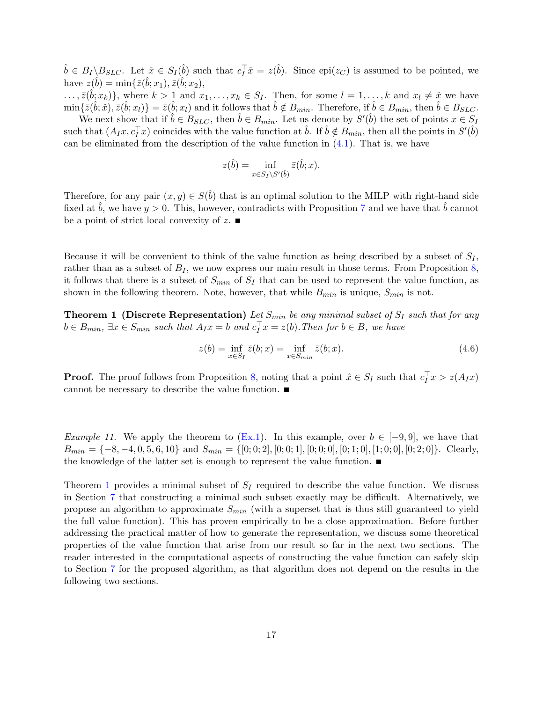$\hat{b} \in B_I \backslash B_{SLC}$ . Let  $\hat{x} \in S_I(\hat{b})$  such that  $c_I^{\top} \hat{x} = z(\hat{b})$ . Since epi $(z_C)$  is assumed to be pointed, we have  $z(\hat{b}) = \min{\{\bar{z}(\hat{b};x_1),\bar{z}(\hat{b};x_2),\}$ 

 $\ldots, \bar{z}(\hat{b}; x_k) \},$  where  $k > 1$  and  $x_1, \ldots, x_k \in S_I$ . Then, for some  $l = 1, \ldots, k$  and  $x_l \neq \hat{x}$  we have  $\min\{\bar{z}(\hat{b};\hat{x}),\bar{z}(\hat{b};x_l)\} = \bar{z}(\hat{b};x_l)$  and it follows that  $\hat{b} \notin B_{min}$ . Therefore, if  $\hat{b} \in B_{min}$ , then  $\hat{b} \in B_{SLC}$ .

We next show that if  $\hat{b} \in B_{SLC}$ , then  $\hat{b} \in B_{min}$ . Let us denote by  $S'(\hat{b})$  the set of points  $x \in S_I$ such that  $(A_I x, c_I^{\top} x)$  coincides with the value function at  $\hat{b}$ . If  $\hat{b} \notin B_{min}$ , then all the points in  $S'(\hat{b})$ can be eliminated from the description of the value function in  $(4.1)$ . That is, we have

$$
z(\hat{b}) = \inf_{x \in S_I \setminus S'(\hat{b})} \bar{z}(\hat{b}; x).
$$

Therefore, for any pair  $(x, y) \in S(\hat{b})$  that is an optimal solution to the MILP with right-hand side fixed at b, we have  $y > 0$ . This, however, contradicts with Proposition [7](#page-13-0) and we have that  $\hat{b}$  cannot be a point of strict local convexity of z.  $\blacksquare$ 

Because it will be convenient to think of the value function as being described by a subset of  $S_I$ , rather than as a subset of  $B<sub>I</sub>$ , we now express our main result in those terms. From Proposition [8,](#page-15-1) it follows that there is a subset of  $S_{min}$  of  $S_I$  that can be used to represent the value function, as shown in the following theorem. Note, however, that while  $B_{min}$  is unique,  $S_{min}$  is not.

<span id="page-16-0"></span>**Theorem 1 (Discrete Representation)** Let  $S_{min}$  be any minimal subset of  $S_I$  such that for any  $b \in B_{min}$ ,  $\exists x \in S_{min}$  such that  $A_I x = b$  and  $c_I^{\top} x = z(b)$ . Then for  $b \in B$ , we have

$$
z(b) = \inf_{x \in S_I} \bar{z}(b; x) = \inf_{x \in S_{min}} \bar{z}(b; x).
$$
 (4.6)

**Proof.** The proof follows from Proposition [8,](#page-15-1) noting that a point  $\hat{x} \in S_I$  such that  $c_I^{\top} x > z(A_I x)$ cannot be necessary to describe the value function.

Example 11. We apply the theorem to  $(Ex.1)$ . In this example, over  $b \in [-9, 9]$ , we have that  $B_{min} = \{-8, -4, 0, 5, 6, 10\}$  and  $S_{min} = \{[0, 0, 2], [0, 0, 1], [0, 0, 0], [0, 1, 0], [1, 0, 0], [0, 2, 0]\}.$  Clearly, the knowledge of the latter set is enough to represent the value function.

Theorem [1](#page-16-0) provides a minimal subset of  $S_I$  required to describe the value function. We discuss in Section [7](#page-26-0) that constructing a minimal such subset exactly may be difficult. Alternatively, we propose an algorithm to approximate  $S_{min}$  (with a superset that is thus still guaranteed to yield the full value function). This has proven empirically to be a close approximation. Before further addressing the practical matter of how to generate the representation, we discuss some theoretical properties of the value function that arise from our result so far in the next two sections. The reader interested in the computational aspects of constructing the value function can safely skip to Section [7](#page-26-0) for the proposed algorithm, as that algorithm does not depend on the results in the following two sections.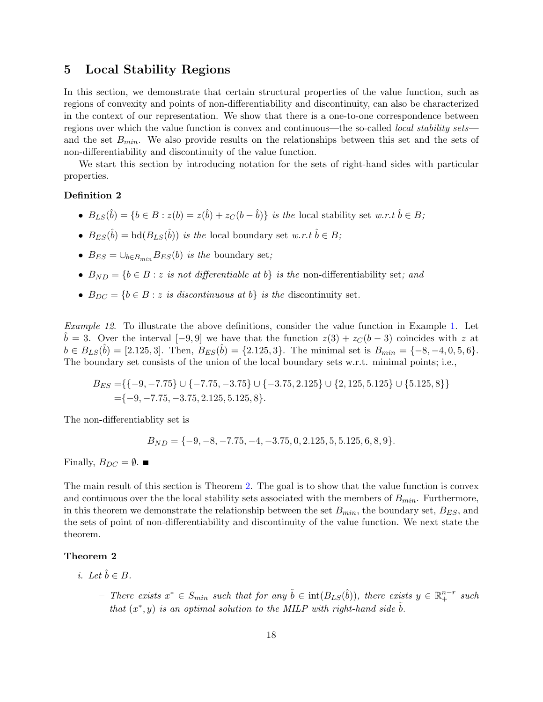# <span id="page-17-0"></span>5 Local Stability Regions

In this section, we demonstrate that certain structural properties of the value function, such as regions of convexity and points of non-differentiability and discontinuity, can also be characterized in the context of our representation. We show that there is a one-to-one correspondence between regions over which the value function is convex and continuous—the so-called *local stability sets* and the set  $B_{min}$ . We also provide results on the relationships between this set and the sets of non-differentiability and discontinuity of the value function.

We start this section by introducing notation for the sets of right-hand sides with particular properties.

#### Definition 2

- $B_{LS}(\hat{b}) = \{b \in B : z(b) = z(\hat{b}) + z_C(b \hat{b})\}$  is the local stability set w.r.t  $\hat{b} \in B$ ;
- $B_{ES}(\hat{b}) = bd(B_{LS}(\hat{b}))$  is the local boundary set  $w.r.t \hat{b} \in B;$
- $B_{ES} = \bigcup_{b \in B_{min}} B_{ES}(b)$  is the boundary set;
- $B_{ND} = \{b \in B : z \text{ is not differentiable at } b\}$  is the non-differentiability set; and
- $B_{DC} = \{b \in B : z \text{ is discontinuous at } b\}$  is the discontinuity set.

Example 12. To illustrate the above definitions, consider the value function in Example [1.](#page-2-1) Let  $b = 3$ . Over the interval [−9,9] we have that the function  $z(3) + z_C(b-3)$  coincides with z at  $b \in B_{LS}(\hat{b}) = [2.125, 3].$  Then,  $B_{ES}(\hat{b}) = \{2.125, 3\}.$  The minimal set is  $B_{min} = \{-8, -4, 0, 5, 6\}.$ The boundary set consists of the union of the local boundary sets w.r.t. minimal points; i.e.,

$$
B_{ES} = \{ \{-9, -7.75\} \cup \{-7.75, -3.75\} \cup \{-3.75, 2.125\} \cup \{2, 125, 5.125\} \cup \{5.125, 8\} \}
$$
  
= $\{-9, -7.75, -3.75, 2.125, 5.125, 8\}.$ 

The non-differentiablity set is

$$
B_{ND} = \{-9, -8, -7.75, -4, -3.75, 0, 2.125, 5, 5.125, 6, 8, 9\}.
$$

Finally,  $B_{DC} = \emptyset$ .

The main result of this section is Theorem [2.](#page-17-1) The goal is to show that the value function is convex and continuous over the the local stability sets associated with the members of  $B_{min}$ . Furthermore, in this theorem we demonstrate the relationship between the set  $B_{min}$ , the boundary set,  $B_{ES}$ , and the sets of point of non-differentiability and discontinuity of the value function. We next state the theorem.

#### <span id="page-17-1"></span>Theorem 2

- i. Let  $\hat{b} \in B$ .
	- $-$  There exists  $x^*$  ∈  $S_{min}$  such that for any  $\tilde{b}$  ∈ int $(B_{LS}(\hat{b}))$ , there exists  $y \in \mathbb{R}^{n-r}$  such that  $(x^*, y)$  is an optimal solution to the MILP with right-hand side  $\tilde{b}$ .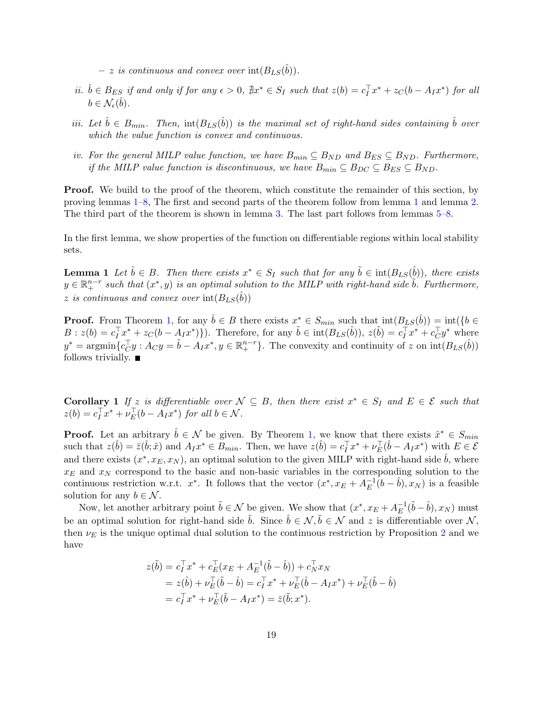$- z$  is continuous and convex over  $\text{int}(B_{LS}(\hat{b}))$ .

- ii.  $\hat{b} \in B_{ES}$  if and only if for any  $\epsilon > 0$ ,  $\hat{\neq}x^* \in S_I$  such that  $z(b) = c_I^{\top}x^* + z_C(b A_I x^*)$  for all  $b \in \mathcal{N}_{\epsilon}(\hat{b})$ .
- iii. Let  $\hat{b} \in B_{min}$ . Then,  $\text{int}(B_{LS}(\hat{b}))$  is the maximal set of right-hand sides containing  $\hat{b}$  over which the value function is convex and continuous.
- iv. For the general MILP value function, we have  $B_{min} \subseteq B_{ND}$  and  $B_{ES} \subseteq B_{ND}$ . Furthermore, if the MILP value function is discontinuous, we have  $B_{min} \subseteq B_{DC} \subseteq B_{ES} \subseteq B_{ND}$ .

**Proof.** We build to the proof of the theorem, which constitute the remainder of this section, by proving lemmas [1](#page-18-0)[–8,](#page-20-0) The first and second parts of the theorem follow from lemma [1](#page-18-0) and lemma [2.](#page-19-0) The third part of the theorem is shown in lemma [3.](#page-19-1) The last part follows from lemmas [5–](#page-20-1)[8.](#page-20-0)

In the first lemma, we show properties of the function on differentiable regions within local stability sets.

<span id="page-18-1"></span>**Lemma 1** Let  $\hat{b} \in B$ . Then there exists  $x^* \in S_I$  such that for any  $\tilde{b} \in \text{int}(B_{LS}(\hat{b}))$ , there exists  $y \in \mathbb{R}^{n-r}_+$  such that  $(x^*, y)$  is an optimal solution to the MILP with right-hand side  $\tilde{b}$ . Furthermore, z is continuous and convex over  $\text{int}(B_{LS}(\hat{b}))$ 

**Proof.** From Theorem [1,](#page-16-0) for any  $\hat{b} \in B$  there exists  $x^* \in S_{min}$  such that  $\text{int}(B_{LS}(\hat{b})) = \text{int}(\{b \in A\})$  $B: z(b) = c_I^{\top}x^* + z_C(b - A_Ix^*)\}.$  Therefore, for any  $\tilde{b} \in \text{int}(B_{LS}(\hat{b}))$ ,  $z(\tilde{b}) = c_I^{\top}x^* + c_C^{\top}y^*$  where  $y^* = \operatorname{argmin} \{ c_U^{\top} y : A_C y = \tilde{b} - A_I x^*, y \in \mathbb{R}^{n-r}_+ \}.$  The convexity and continuity of z on  $\operatorname{int}(B_{LS}(\hat{b}))$ follows trivially.  $\blacksquare$ 

<span id="page-18-0"></span>**Corollary** 1 If z is differentiable over  $N \subseteq B$ , then there exist  $x^* \in S_I$  and  $E \in \mathcal{E}$  such that  $z(b) = c_I^{\top} x^* + \nu_E^{\top} (b - A_I x^*)$  for all  $b \in \mathcal{N}$ .

**Proof.** Let an arbitrary  $\hat{b} \in \mathcal{N}$  be given. By Theorem [1,](#page-16-0) we know that there exists  $\hat{x}^* \in S_{min}$ such that  $z(\hat{b}) = \bar{z}(\hat{b}; \hat{x})$  and  $A_I x^* \in \bar{B}_{min}$ . Then, we have  $z(\hat{b}) = c_I^{\top} x^* + \nu_E^{\top} (\hat{b} - A_I x^*)$  with  $E \in \mathcal{E}$ and there exists  $(x^*, x_E, x_N)$ , an optimal solution to the given MILP with right-hand side  $\hat{b}$ , where  $x_E$  and  $x_N$  correspond to the basic and non-basic variables in the corresponding solution to the continuous restriction w.r.t.  $x^*$ . It follows that the vector  $(x^*, x_E + A_E^{-1})$  $E^{-1}(b - \hat{b}), x_N$ ) is a feasible solution for any  $b \in \mathcal{N}$ .

Now, let another arbitrary point  $\tilde{b} \in \mathcal{N}$  be given. We show that  $(x^*, x_E + A_E^{-1})$  $_{E}^{-1}(\tilde{b}-\hat{b}), x_N$  must be an optimal solution for right-hand side  $\tilde{b}$ . Since  $\hat{b} \in \mathcal{N}, \tilde{b} \in \mathcal{N}$  and z is differentiable over  $\mathcal{N}$ , then  $\nu_E$  is the unique optimal dual solution to the continuous restriction by Proposition [2](#page-6-1) and we have

$$
z(\tilde{b}) = c_I^{\top} x^* + c_E^{\top} (x_E + A_E^{-1} (\tilde{b} - \hat{b})) + c_N^{\top} x_N
$$
  
=  $z(\hat{b}) + \nu_E^{\top} (\tilde{b} - \hat{b}) = c_I^{\top} x^* + \nu_E^{\top} (\hat{b} - A_I x^*) + \nu_E^{\top} (\tilde{b} - \hat{b})$   
=  $c_I^{\top} x^* + \nu_E^{\top} (\tilde{b} - A_I x^*) = \bar{z}(\tilde{b}; x^*).$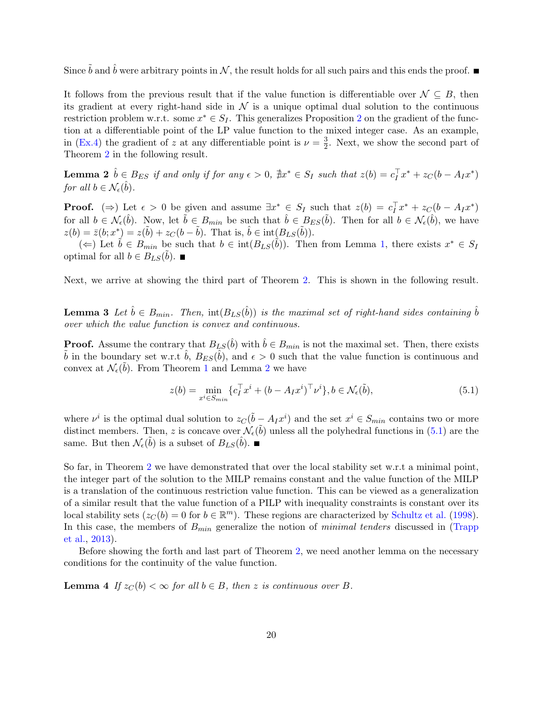Since  $\tilde{b}$  and  $\hat{b}$  were arbitrary points in  $\mathcal{N}$ , the result holds for all such pairs and this ends the proof.

It follows from the previous result that if the value function is differentiable over  $\mathcal{N} \subseteq B$ , then its gradient at every right-hand side in  $\mathcal N$  is a unique optimal dual solution to the continuous restriction problem w.r.t. some  $x^* \in S_I$ . This generalizes Proposition [2](#page-6-1) on the gradient of the function at a differentiable point of the LP value function to the mixed integer case. As an example, in [\(Ex.4\)](#page-7-1) the gradient of z at any differentiable point is  $\nu = \frac{3}{2}$  $\frac{3}{2}$ . Next, we show the second part of Theorem [2](#page-17-1) in the following result.

<span id="page-19-0"></span>**Lemma 2**  $\hat{b} \in B_{ES}$  if and only if for any  $\epsilon > 0$ ,  $\sharp x^* \in S_I$  such that  $z(b) = c_I^{\top} x^* + z_C(b - A_I x^*)$ for all  $b \in \mathcal{N}_{\epsilon}(\hat{b})$ .

**Proof.** ( $\Rightarrow$ ) Let  $\epsilon > 0$  be given and assume  $\exists x^* \in S_I$  such that  $z(b) = c_I^{\top} x^* + z_C(b - A_I x^*)$ for all  $b \in \mathcal{N}_{\epsilon}(\hat{b})$ . Now, let  $\tilde{b} \in B_{min}$  be such that  $\hat{b} \in B_{ES}(\tilde{b})$ . Then for all  $b \in \mathcal{N}_{\epsilon}(\hat{b})$ , we have  $z(b) = \bar{z}(b; x^*) = z(\tilde{b}) + z_C(b - \tilde{b})$ . That is,  $\hat{b} \in \text{int}(B_{LS}(\tilde{b}))$ .

(←) Let  $\tilde{b} \in B_{min}$  be such that  $b \in \text{int}(B_{LS}(\tilde{b}))$ . Then from Lemma [1,](#page-18-1) there exists  $x^* \in S_I$ optimal for all  $b \in B_{LS}(\tilde{b})$ .

<span id="page-19-1"></span>Next, we arrive at showing the third part of Theorem [2.](#page-17-1) This is shown in the following result.

**Lemma 3** Let  $\hat{b} \in B_{min}$ . Then,  $\text{int}(B_{LS}(\hat{b}))$  is the maximal set of right-hand sides containing  $\hat{b}$ over which the value function is convex and continuous.

**Proof.** Assume the contrary that  $B_{LS}(\hat{b})$  with  $\hat{b} \in B_{min}$  is not the maximal set. Then, there exists  $\tilde{b}$  in the boundary set w.r.t  $\hat{b}$ ,  $B_{ES}(\hat{b})$ , and  $\epsilon > 0$  such that the value function is continuous and convex at  $\mathcal{N}_{\epsilon}(\tilde{b})$ . From Theorem [1](#page-16-0) and Lemma [2](#page-19-0) we have

<span id="page-19-2"></span>
$$
z(b) = \min_{x^i \in S_{min}} \{c_I^\top x^i + (b - A_I x^i)^\top \nu^i\}, b \in \mathcal{N}_{\epsilon}(\tilde{b}),\tag{5.1}
$$

where  $\nu^i$  is the optimal dual solution to  $z_{\text{C}}(\tilde{b} - A_I x^i)$  and the set  $x^i \in S_{min}$  contains two or more distinct members. Then, z is concave over  $\mathcal{N}_{\epsilon}(\tilde{b})$  unless all the polyhedral functions in [\(5.1\)](#page-19-2) are the same. But then  $\mathcal{N}_{\epsilon}(\tilde{b})$  is a subset of  $B_{LS}(\hat{b})$ .

So far, in Theorem [2](#page-17-1) we have demonstrated that over the local stability set w.r.t a minimal point, the integer part of the solution to the MILP remains constant and the value function of the MILP is a translation of the continuous restriction value function. This can be viewed as a generalization of a similar result that the value function of a PILP with inequality constraints is constant over its local stability sets  $(z_C(b) = 0$  for  $b \in \mathbb{R}^m$ ). These regions are characterized by [Schultz et al.](#page-32-0) [\(1998\)](#page-32-0). In this case, the members of  $B_{min}$  generalize the notion of *minimal tenders* discussed in [\(Trapp](#page-32-9) [et al.,](#page-32-9) [2013\)](#page-32-9).

Before showing the forth and last part of Theorem [2,](#page-17-1) we need another lemma on the necessary conditions for the continuity of the value function.

<span id="page-19-3"></span>**Lemma 4** If  $z_C(b) < \infty$  for all  $b \in B$ , then z is continuous over B.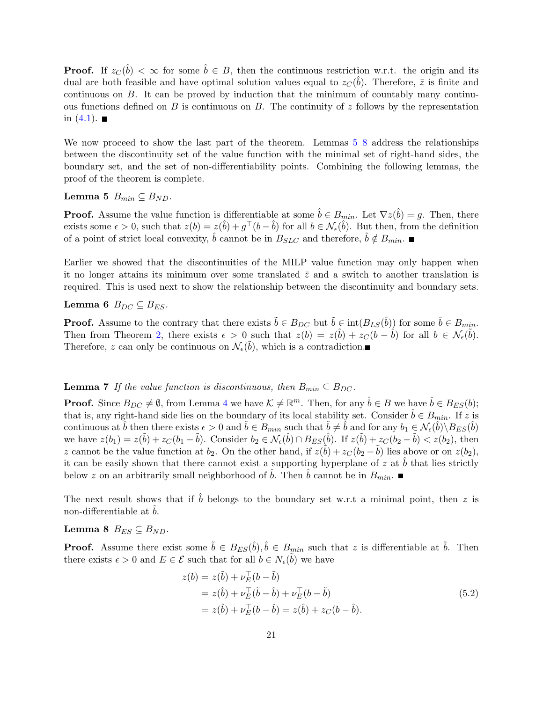**Proof.** If  $z_c(\hat{b}) < \infty$  for some  $\hat{b} \in B$ , then the continuous restriction w.r.t. the origin and its dual are both feasible and have optimal solution values equal to  $z_{C}(\hat{b})$ . Therefore,  $\bar{z}$  is finite and continuous on B. It can be proved by induction that the minimum of countably many continuous functions defined on B is continuous on B. The continuity of  $z$  follows by the representation in  $(4.1)$ .

We now proceed to show the last part of the theorem. Lemmas [5–](#page-20-1)[8](#page-20-0) address the relationships between the discontinuity set of the value function with the minimal set of right-hand sides, the boundary set, and the set of non-differentiability points. Combining the following lemmas, the proof of the theorem is complete.

#### <span id="page-20-1"></span>Lemma 5  $B_{min} \subseteq B_{ND}$ .

**Proof.** Assume the value function is differentiable at some  $\hat{b} \in B_{min}$ . Let  $\nabla z(\hat{b}) = g$ . Then, there exists some  $\epsilon > 0$ , such that  $z(b) = z(\hat{b}) + g^{\top}(b - \hat{b})$  for all  $b \in \mathcal{N}_{\epsilon}(\hat{b})$ . But then, from the definition of a point of strict local convexity,  $\hat{b}$  cannot be in  $B_{SLC}$  and therefore,  $\hat{b} \notin B_{min}$ .

Earlier we showed that the discontinuities of the MILP value function may only happen when it no longer attains its minimum over some translated  $\bar{z}$  and a switch to another translation is required. This is used next to show the relationship between the discontinuity and boundary sets.

#### Lemma 6  $B_{DC} \subseteq B_{ES}$ .

**Proof.** Assume to the contrary that there exists  $\tilde{b} \in B_{DC}$  but  $\tilde{b} \in \text{int}(B_{LS}(\hat{b}))$  for some  $\hat{b} \in B_{min}$ . Then from Theorem [2,](#page-17-1) there exists  $\epsilon > 0$  such that  $z(b) = z(\hat{b}) + z_C(b - \hat{b})$  for all  $b \in \mathcal{N}_{\epsilon}(\tilde{b})$ . Therefore, z can only be continuous on  $\mathcal{N}_{\epsilon}(\tilde{b})$ , which is a contradiction.

#### **Lemma 7** If the value function is discontinuous, then  $B_{min} \subseteq B_{DC}$ .

**Proof.** Since  $B_{DC} \neq \emptyset$ , from Lemma [4](#page-19-3) we have  $\mathcal{K} \neq \mathbb{R}^m$ . Then, for any  $\hat{b} \in B$  we have  $\hat{b} \in B_{ES}(b)$ ; that is, any right-hand side lies on the boundary of its local stability set. Consider  $\hat{b} \in B_{min}$ . If z is continuous at  $\hat{b}$  then there exists  $\epsilon > 0$  and  $\tilde{b} \in B_{min}$  such that  $\tilde{b} \neq \hat{b}$  and for any  $b_1 \in \mathcal{N}_{\epsilon}(\hat{b}) \setminus B_{ES}(\hat{b})$ we have  $z(b_1) = z(\tilde{b}) + z_C(b_1 - \tilde{b})$ . Consider  $b_2 \in \mathcal{N}_{\epsilon}(\hat{b}) \cap B_{ES}(\hat{b})$ . If  $z(\tilde{b}) + z_C(b_2 - \tilde{b}) < z(b_2)$ , then z cannot be the value function at  $b_2$ . On the other hand, if  $z(\tilde{b}) + z_C(b_2 - \tilde{b})$  lies above or on  $z(b_2)$ , it can be easily shown that there cannot exist a supporting hyperplane of z at  $\hat{b}$  that lies strictly below z on an arbitrarily small neighborhood of b. Then b cannot be in  $B_{min}$ .

The next result shows that if  $\hat{b}$  belongs to the boundary set w.r.t a minimal point, then z is non-differentiable at  $b$ .

<span id="page-20-0"></span>Lemma 8  $B_{ES} \subseteq B_{ND}$ .

**Proof.** Assume there exist some  $\tilde{b} \in B_{ES}(\hat{b}), \hat{b} \in B_{min}$  such that z is differentiable at  $\tilde{b}$ . Then there exists  $\epsilon > 0$  and  $E \in \mathcal{E}$  such that for all  $b \in N_{\epsilon}(\tilde{b})$  we have

$$
z(b) = z(\tilde{b}) + \nu_{E}^{\top}(b - \tilde{b})
$$
  
= z(\hat{b}) + \nu\_{E}^{\top}(\tilde{b} - \hat{b}) + \nu\_{E}^{\top}(b - \tilde{b})  
= z(\hat{b}) + \nu\_{E}^{\top}(b - \hat{b}) = z(\hat{b}) + z\_{C}(b - \hat{b}). (5.2)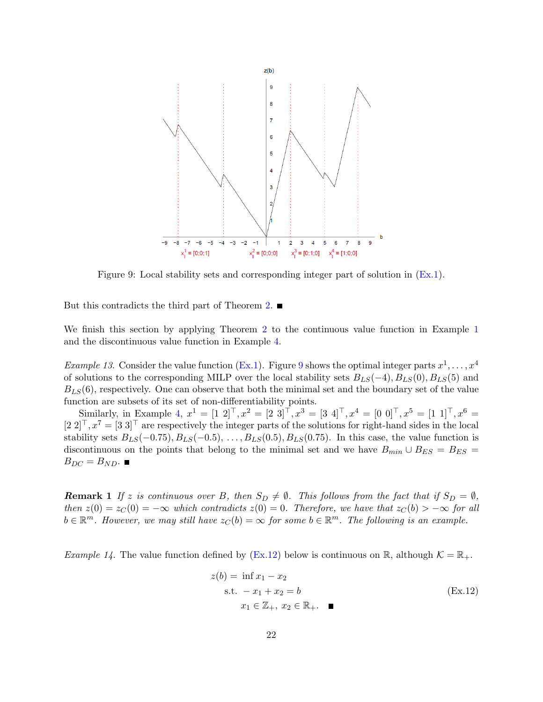<span id="page-21-0"></span>

Figure 9: Local stability sets and corresponding integer part of solution in [\(Ex.1\)](#page-2-2).

But this contradicts the third part of Theorem [2.](#page-17-1)

We finish this section by applying Theorem [2](#page-17-1) to the continuous value function in Example [1](#page-2-1) and the discontinuous value function in Example [4.](#page-7-0)

*Example 13.* Consider the value function [\(Ex.1\)](#page-2-2). Figure [9](#page-21-0) shows the optimal integer parts  $x^1, \ldots, x^4$ of solutions to the corresponding MILP over the local stability sets  $B_{LS}(-4)$ ,  $B_{LS}(0)$ ,  $B_{LS}(5)$  and  $B_{LS}(6)$ , respectively. One can observe that both the minimal set and the boundary set of the value function are subsets of its set of non-differentiability points.

Similarly, in Example [4,](#page-7-0)  $x^1 = \begin{bmatrix} 1 & 2 \end{bmatrix}^T, x^2 = \begin{bmatrix} 2 & 3 \end{bmatrix}^T, x^3 = \begin{bmatrix} 3 & 4 \end{bmatrix}^T, x^4 = \begin{bmatrix} 0 & 0 \end{bmatrix}^T, x^5 = \begin{bmatrix} 1 & 1 \end{bmatrix}^T, x^6 =$  $[2 2]^\top, x^7 = [3 3]^\top$  are respectively the integer parts of the solutions for right-hand sides in the local stability sets  $B_{LS}(-0.75), B_{LS}(-0.5), \ldots, B_{LS}(0.5), B_{LS}(0.75)$ . In this case, the value function is discontinuous on the points that belong to the minimal set and we have  $B_{min} \cup B_{ES} = B_{ES}$  $B_{DC} = B_{ND}$ .

**Remark 1** If z is continuous over B, then  $S_D \neq \emptyset$ . This follows from the fact that if  $S_D = \emptyset$ , then  $z(0) = z_C(0) = -\infty$  which contradicts  $z(0) = 0$ . Therefore, we have that  $z_C(b) > -\infty$  for all  $b \in \mathbb{R}^m$ . However, we may still have  $z_C(b) = \infty$  for some  $b \in \mathbb{R}^m$ . The following is an example.

*Example 14*. The value function defined by [\(Ex.12\)](#page-21-1) below is continuous on R, although  $K = \mathbb{R}_+$ .

<span id="page-21-1"></span>
$$
z(b) = \inf x_1 - x_2
$$
  
s.t.  $-x_1 + x_2 = b$   
 $x_1 \in \mathbb{Z}_+, x_2 \in \mathbb{R}_+.$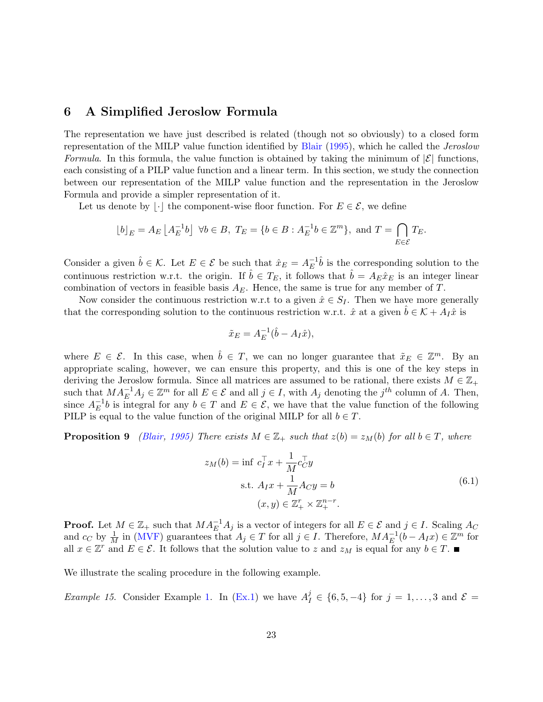### <span id="page-22-0"></span>6 A Simplified Jeroslow Formula

The representation we have just described is related (though not so obviously) to a closed form representation of the MILP value function identified by [Blair](#page-31-6) [\(1995\)](#page-31-6), which he called the Jeroslow Formula. In this formula, the value function is obtained by taking the minimum of  $|\mathcal{E}|$  functions, each consisting of a PILP value function and a linear term. In this section, we study the connection between our representation of the MILP value function and the representation in the Jeroslow Formula and provide a simpler representation of it.

Let us denote by  $|\cdot|$  the component-wise floor function. For  $E \in \mathcal{E}$ , we define

$$
\lfloor b \rfloor_E = A_E \left\lfloor A_E^{-1}b \right\rfloor \ \forall b \in B, \ T_E = \{ b \in B : A_E^{-1}b \in \mathbb{Z}^m \}, \text{ and } T = \bigcap_{E \in \mathcal{E}} T_E.
$$

Consider a given  $\hat{b} \in \mathcal{K}$ . Let  $E \in \mathcal{E}$  be such that  $\hat{x}_E = A_E^{-1}$  $E^{-1}\hat{b}$  is the corresponding solution to the continuous restriction w.r.t. the origin. If  $\hat{b} \in T_E$ , it follows that  $\hat{b} = A_E \hat{x}_E$  is an integer linear combination of vectors in feasible basis  $A_E$ . Hence, the same is true for any member of T.

Now consider the continuous restriction w.r.t to a given  $\hat{x} \in S_I$ . Then we have more generally that the corresponding solution to the continuous restriction w.r.t.  $\hat{x}$  at a given  $\hat{b} \in \mathcal{K} + A_I \hat{x}$  is

$$
\tilde{x}_E = A_E^{-1}(\hat{b} - A_I \hat{x}),
$$

where  $E \in \mathcal{E}$ . In this case, when  $\hat{b} \in T$ , we can no longer guarantee that  $\tilde{x}_E \in \mathbb{Z}^m$ . By an appropriate scaling, however, we can ensure this property, and this is one of the key steps in deriving the Jeroslow formula. Since all matrices are assumed to be rational, there exists  $M \in \mathbb{Z}_+$ such that  $MA_E^{-1}A_j \in \mathbb{Z}^m$  for all  $E \in \mathcal{E}$  and all  $j \in I$ , with  $A_j$  denoting the  $j^{th}$  column of A. Then, since  $A_E^{-1}$  $E^{-1}b$  is integral for any  $b \in T$  and  $E \in \mathcal{E}$ , we have that the value function of the following PILP is equal to the value function of the original MILP for all  $b \in T$ .

**Proposition 9** [\(Blair,](#page-31-6) [1995\)](#page-31-6) There exists  $M \in \mathbb{Z}_+$  such that  $z(b) = z_M(b)$  for all  $b \in T$ , where

<span id="page-22-1"></span>
$$
z_M(b) = \inf c_I^{\top} x + \frac{1}{M} c_C^{\top} y
$$
  
s.t.  $A_I x + \frac{1}{M} A_C y = b$   

$$
(x, y) \in \mathbb{Z}_+^r \times \mathbb{Z}_+^{n-r}.
$$

$$
(6.1)
$$

**Proof.** Let  $M \in \mathbb{Z}_+$  such that  $MA_E^{-1}A_j$  is a vector of integers for all  $E \in \mathcal{E}$  and  $j \in I$ . Scaling  $A_C$ and  $c_C$  by  $\frac{1}{M}$  in [\(MVF\)](#page-2-1) guarantees that  $A_j \in T$  for all  $j \in I$ . Therefore,  $MA_E^{-1}(b - A_I x) \in \mathbb{Z}^m$  for all  $x \in \mathbb{Z}^r$  and  $E \in \mathcal{E}$ . It follows that the solution value to z and  $z_M$  is equal for any  $b \in T$ .

We illustrate the scaling procedure in the following example.

*Example 15.* Consider Example [1.](#page-2-1) In [\(Ex.1\)](#page-2-2) we have  $A_I^j \in \{6, 5, -4\}$  for  $j = 1, ..., 3$  and  $\mathcal{E} =$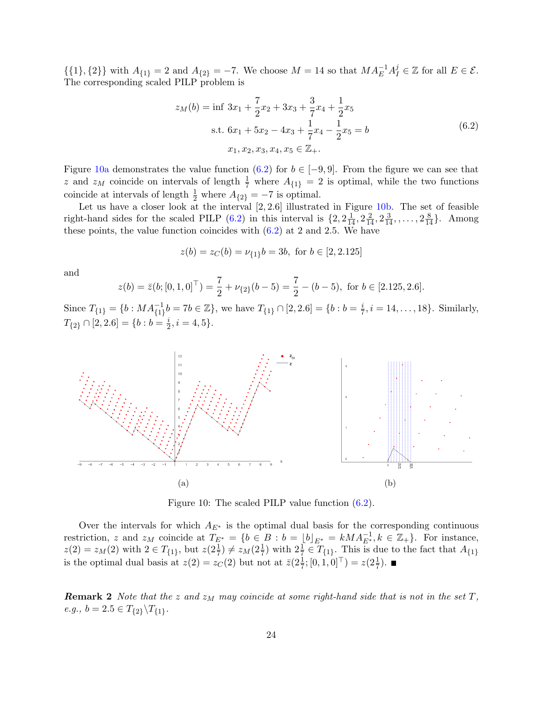$\{\{1\},\{2\}\}\$  with  $A_{\{1\}}=2$  and  $A_{\{2\}}=-7$ . We choose  $M=14$  so that  $MA_E^{-1}A_I^j \in \mathbb{Z}$  for all  $E \in \mathcal{E}$ . The corresponding scaled PILP problem is

<span id="page-23-1"></span>
$$
z_M(b) = \inf 3x_1 + \frac{7}{2}x_2 + 3x_3 + \frac{3}{7}x_4 + \frac{1}{2}x_5
$$
  
s.t.  $6x_1 + 5x_2 - 4x_3 + \frac{1}{7}x_4 - \frac{1}{2}x_5 = b$   
 $x_1, x_2, x_3, x_4, x_5 \in \mathbb{Z}_+.$  (6.2)

Figure [10a](#page-23-0) demonstrates the value function [\(6.2\)](#page-23-1) for  $b \in [-9, 9]$ . From the figure we can see that z and  $z_M$  coincide on intervals of length  $\frac{1}{7}$  where  $A_{\{1\}}=2$  is optimal, while the two functions coincide at intervals of length  $\frac{1}{2}$  where  $A_{\{2\}} = -7$  is optimal.

Let us have a closer look at the interval  $[2, 2.6]$  illustrated in Figure [10b.](#page-23-0) The set of feasible right-hand sides for the scaled PILP  $(6.2)$  in this interval is  $\{2, 2\frac{1}{14}, 2\frac{2}{14}, 2\frac{3}{14}, \ldots, 2\frac{8}{14}\}.$  Among these points, the value function coincides with  $(6.2)$  at 2 and 2.5. We have

$$
z(b) = z_C(b) = \nu_{\{1\}}b = 3b, \text{ for } b \in [2, 2.125]
$$

and

$$
z(b) = \bar{z}(b; [0, 1, 0]^{\top}) = \frac{7}{2} + \nu_{\{2\}}(b - 5) = \frac{7}{2} - (b - 5), \text{ for } b \in [2.125, 2.6].
$$

Since  $T_{\{1\}} = \{b : MA_{\{1\}}^{-1}b = 7b \in \mathbb{Z}\}$ , we have  $T_{\{1\}} \cap [2, 2.6] = \{b : b = \frac{i}{7}\}$  $\frac{i}{7}, i = 14, ..., 18$ . Similarly,  $T_{\{2\}} \cap [2,2.6] = \{b : b = \frac{i}{2}$  $\frac{i}{2}, i = 4, 5\}.$ 

<span id="page-23-0"></span>

Figure 10: The scaled PILP value function [\(6.2\)](#page-23-1).

Over the intervals for which  $A_{E^*}$  is the optimal dual basis for the corresponding continuous restriction, z and  $z_M$  coincide at  $T_{E^*} = \{b \in B : b = \lfloor b \rfloor_{E^*} = kMA_{E^*}^{-1}, k \in \mathbb{Z}_+\}$ . For instance,  $z(2) = z_M(2)$  with  $2 \in T_{\{1\}}$ , but  $z(2\frac{1}{7}) \neq z_M(2\frac{1}{7})$  with  $2\frac{1}{7} \in T_{\{1\}}$ . This is due to the fact that  $A_{\{1\}}$ is the optimal dual basis at  $z(2) = z_C(2)$  but not at  $\overline{z}(2\frac{1}{7};[0,1,0]^{\top}) = z(2\frac{1}{7}).$ 

**Remark 2** Note that the z and  $z_M$  may coincide at some right-hand side that is not in the set T,  $e.g., b = 2.5 \in T_{\{2\}} \backslash T_{\{1\}}.$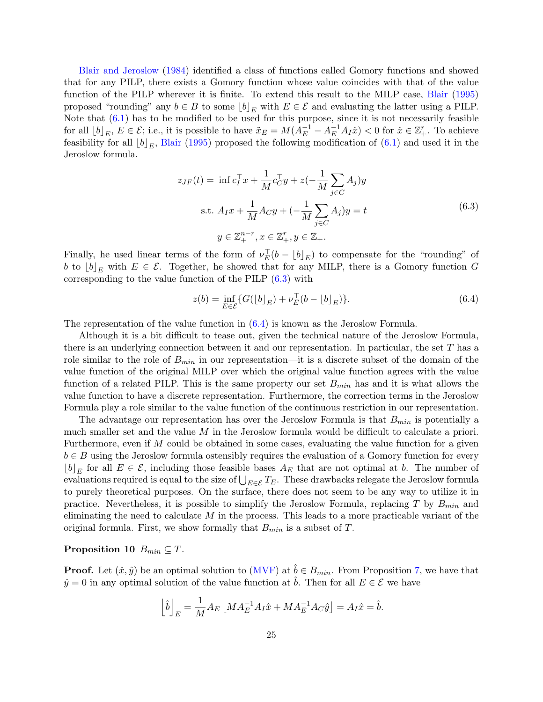[Blair and Jeroslow](#page-32-8) [\(1984\)](#page-32-8) identified a class of functions called Gomory functions and showed that for any PILP, there exists a Gomory function whose value coincides with that of the value function of the PILP wherever it is finite. To extend this result to the MILP case, [Blair](#page-31-6) [\(1995\)](#page-31-6) proposed "rounding" any  $b \in B$  to some  $|b|_E$  with  $E \in \mathcal{E}$  and evaluating the latter using a PILP. Note that [\(6.1\)](#page-22-1) has to be modified to be used for this purpose, since it is not necessarily feasible for all  $[b]_E, E \in \mathcal{E}$ ; i.e., it is possible to have  $\tilde{x}_E = M(A_E^{-1} - A_E^{-1}A_I\hat{x}) < 0$  for  $\hat{x} \in \mathbb{Z}_+^r$ . To achieve feasibility for all  $[b]_E$ , [Blair](#page-31-6) [\(1995\)](#page-31-6) proposed the following modification of [\(6.1\)](#page-22-1) and used it in the Jeroslow formula.

<span id="page-24-0"></span>
$$
z_{JF}(t) = \inf c_I^{\top} x + \frac{1}{M} c_C^{\top} y + z \left(-\frac{1}{M} \sum_{j \in C} A_j \right) y
$$
  
s.t.  $A_I x + \frac{1}{M} A_C y + \left(-\frac{1}{M} \sum_{j \in C} A_j \right) y = t$   

$$
y \in \mathbb{Z}_+^{n-r}, x \in \mathbb{Z}_+^r, y \in \mathbb{Z}_+.
$$
 (6.3)

Finally, he used linear terms of the form of  $\nu_E^{\top}(b - \lfloor b \rfloor_E)$  to compensate for the "rounding" of b to  $[b]_E$  with  $E \in \mathcal{E}$ . Together, he showed that for any MILP, there is a Gomory function G corresponding to the value function of the PILP [\(6.3\)](#page-24-0) with

<span id="page-24-1"></span>
$$
z(b) = \inf_{E \in \mathcal{E}} \{ G([b]_E) + \nu_E^{\top} (b - [b]_E) \}.
$$
 (6.4)

The representation of the value function in [\(6.4\)](#page-24-1) is known as the Jeroslow Formula.

Although it is a bit difficult to tease out, given the technical nature of the Jeroslow Formula, there is an underlying connection between it and our representation. In particular, the set T has a role similar to the role of  $B_{min}$  in our representation—it is a discrete subset of the domain of the value function of the original MILP over which the original value function agrees with the value function of a related PILP. This is the same property our set  $B_{min}$  has and it is what allows the value function to have a discrete representation. Furthermore, the correction terms in the Jeroslow Formula play a role similar to the value function of the continuous restriction in our representation.

The advantage our representation has over the Jeroslow Formula is that  $B_{min}$  is potentially a much smaller set and the value M in the Jeroslow formula would be difficult to calculate a priori. Furthermore, even if M could be obtained in some cases, evaluating the value function for a given  $b \in B$  using the Jeroslow formula ostensibly requires the evaluation of a Gomory function for every  $[b]_E$  for all  $E \in \mathcal{E}$ , including those feasible bases  $A_E$  that are not optimal at b. The number of evaluations required is equal to the size of  $\bigcup_{E \in \mathcal{E}} T_E$ . These drawbacks relegate the Jeroslow formula to purely theoretical purposes. On the surface, there does not seem to be any way to utilize it in practice. Nevertheless, it is possible to simplify the Jeroslow Formula, replacing  $T$  by  $B_{min}$  and eliminating the need to calculate  $M$  in the process. This leads to a more practicable variant of the original formula. First, we show formally that  $B_{min}$  is a subset of T.

#### Proposition 10  $B_{min} \subseteq T$ .

**Proof.** Let  $(\hat{x}, \hat{y})$  be an optimal solution to [\(MVF\)](#page-2-1) at  $\hat{b} \in B_{min}$ . From Proposition [7,](#page-13-0) we have that  $\hat{y} = 0$  in any optimal solution of the value function at  $\hat{b}$ . Then for all  $E \in \mathcal{E}$  we have

<span id="page-24-2"></span>
$$
\left[\hat{b}\right]_E = \frac{1}{M}A_E \left[M A_E^{-1} A_I \hat{x} + M A_E^{-1} A_C \hat{y}\right] = A_I \hat{x} = \hat{b}.
$$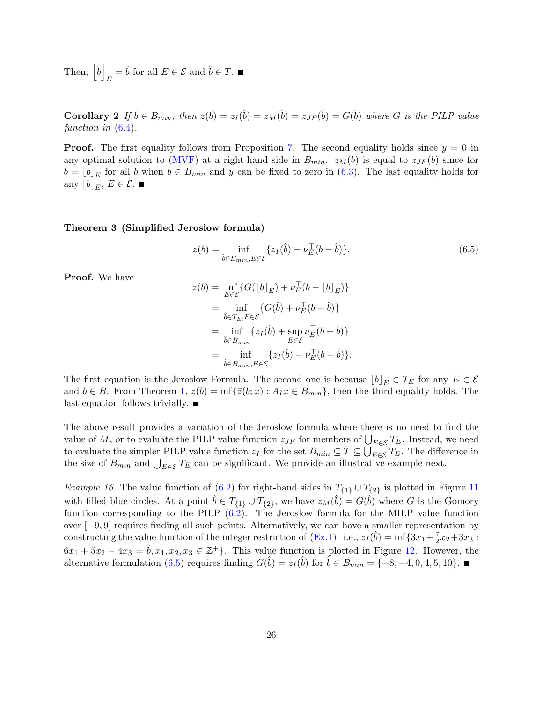Then,  $|\hat{b}|$  $E = \hat{b}$  for all  $E \in \mathcal{E}$  and  $\hat{b} \in T$ .

Corollary 2 If  $\hat{b} \in B_{min}$ , then  $z(\hat{b}) = z_I(\hat{b}) = z_M(\hat{b}) = z_{JF}(\hat{b}) = G(\hat{b})$  where G is the PILP value function in  $(6.4)$ .

**Proof.** The first equality follows from Proposition [7.](#page-13-0) The second equality holds since  $y = 0$  in any optimal solution to [\(MVF\)](#page-2-1) at a right-hand side in  $B_{min}$ .  $z_M(b)$  is equal to  $z_{JF}(b)$  since for  $b = [b]_E$  for all b when  $b \in B_{min}$  and y can be fixed to zero in [\(6.3\)](#page-24-0). The last equality holds for any  $[b]_E, E \in \mathcal{E}$ .

#### <span id="page-25-0"></span>Theorem 3 (Simplified Jeroslow formula)

$$
z(b) = \inf_{\hat{b} \in B_{min}, E \in \mathcal{E}} \{z_I(\hat{b}) - \nu_E^{\top}(b - \hat{b})\}.
$$
 (6.5)

Proof. We have

$$
z(b) = \inf_{E \in \mathcal{E}} \{ G([b]_E) + \nu_E^{\top} (b - [b]_E) \}
$$
  
= 
$$
\inf_{\hat{b} \in T_E, E \in \mathcal{E}} \{ G(\hat{b}) + \nu_E^{\top} (b - \hat{b}) \}
$$
  
= 
$$
\inf_{\hat{b} \in B_{min}} \{ z_I(\hat{b}) + \sup_{E \in \mathcal{E}} \nu_E^{\top} (b - \hat{b}) \}
$$
  
= 
$$
\inf_{\hat{b} \in B_{min}, E \in \mathcal{E}} \{ z_I(\hat{b}) - \nu_E^{\top} (b - \hat{b}) \}.
$$

The first equation is the Jeroslow Formula. The second one is because  $[b]_E \in T_E$  for any  $E \in \mathcal{E}$ and  $b \in B$ . From Theorem [1,](#page-16-0)  $z(b) = \inf\{\bar{z}(b; x) : A_I x \in B_{min}\}\$ , then the third equality holds. The last equation follows trivially.  $\blacksquare$ 

The above result provides a variation of the Jeroslow formula where there is no need to find the value of M, or to evaluate the PILP value function  $z_{JF}$  for members of  $\bigcup_{E \in \mathcal{E}} T_E$ . Instead, we need to evaluate the simpler PILP value function  $z_I$  for the set  $B_{min} \subseteq T \subseteq \bigcup_{E \in \mathcal{E}} T_E$ . The difference in the size of  $B_{min}$  and  $\bigcup_{E \in \mathcal{E}} T_E$  can be significant. We provide an illustrative example next.

*Example 16*. The value function of [\(6.2\)](#page-23-1) for right-hand sides in  $T_{\{1\}} \cup T_{\{2\}}$  is plotted in Figure [11](#page-26-1) with filled blue circles. At a point  $\hat{b} \in T_{\{1\}} \cup T_{\{2\}}$ , we have  $z_M(\hat{b}) = G(\hat{b})$  where G is the Gomory function corresponding to the PILP [\(6.2\)](#page-23-1). The Jeroslow formula for the MILP value function over [−9, 9] requires finding all such points. Alternatively, we can have a smaller representation by constructing the value function of the integer restriction of [\(Ex.1\)](#page-2-2). i.e.,  $z_I(\hat{b}) = \inf\{3x_1 + \frac{7}{2}\}$  $\frac{7}{2}x_2+3x_3$ :  $6x_1 + 5x_2 - 4x_3 = \hat{b}, x_1, x_2, x_3 \in \mathbb{Z}^+$ . This value function is plotted in Figure [12.](#page-27-0) However, the alternative formulation [\(6.5\)](#page-24-2) requires finding  $G(\hat{b}) = z_I(\hat{b})$  for  $\hat{b} \in B_{min} = \{-8, -4, 0, 4, 5, 10\}.$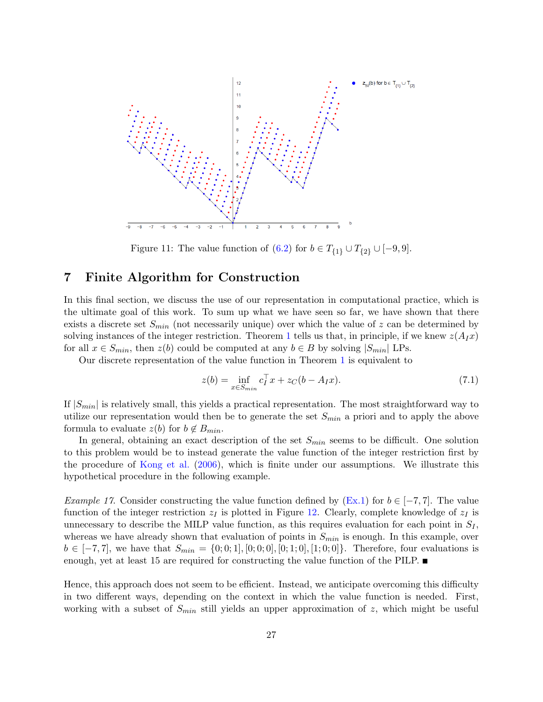<span id="page-26-1"></span>

Figure 11: The value function of [\(6.2\)](#page-23-1) for  $b \in T_{\{1\}} \cup T_{\{2\}} \cup [-9, 9]$ .

# <span id="page-26-0"></span>7 Finite Algorithm for Construction

In this final section, we discuss the use of our representation in computational practice, which is the ultimate goal of this work. To sum up what we have seen so far, we have shown that there exists a discrete set  $S_{min}$  (not necessarily unique) over which the value of z can be determined by solving instances of the integer restriction. Theorem [1](#page-16-0) tells us that, in principle, if we knew  $z(A_Ix)$ for all  $x \in S_{min}$ , then  $z(b)$  could be computed at any  $b \in B$  by solving  $|S_{min}|$  LPs.

Our discrete representation of the value function in Theorem [1](#page-16-0) is equivalent to

$$
z(b) = \inf_{x \in S_{min}} c_I^{\top} x + z_C(b - A_I x). \tag{7.1}
$$

If  $|S_{min}|$  is relatively small, this yields a practical representation. The most straightforward way to utilize our representation would then be to generate the set  $S_{min}$  a priori and to apply the above formula to evaluate  $z(b)$  for  $b \notin B_{min}$ .

In general, obtaining an exact description of the set  $S_{min}$  seems to be difficult. One solution to this problem would be to instead generate the value function of the integer restriction first by the procedure of [Kong et al.](#page-32-1) [\(2006\)](#page-32-1), which is finite under our assumptions. We illustrate this hypothetical procedure in the following example.

*Example 17.* Consider constructing the value function defined by [\(Ex.1\)](#page-2-2) for  $b \in [-7, 7]$ . The value function of the integer restriction  $z_I$  is plotted in Figure [12.](#page-27-0) Clearly, complete knowledge of  $z_I$  is unnecessary to describe the MILP value function, as this requires evaluation for each point in  $S_I$ , whereas we have already shown that evaluation of points in  $S_{min}$  is enough. In this example, over  $b \in [-7, 7]$ , we have that  $S_{min} = \{0, 0, 1], [0, 0, 0], [0, 1, 0], [1, 0, 0]\}$ . Therefore, four evaluations is enough, yet at least 15 are required for constructing the value function of the PILP.

Hence, this approach does not seem to be efficient. Instead, we anticipate overcoming this difficulty in two different ways, depending on the context in which the value function is needed. First, working with a subset of  $S_{min}$  still yields an upper approximation of z, which might be useful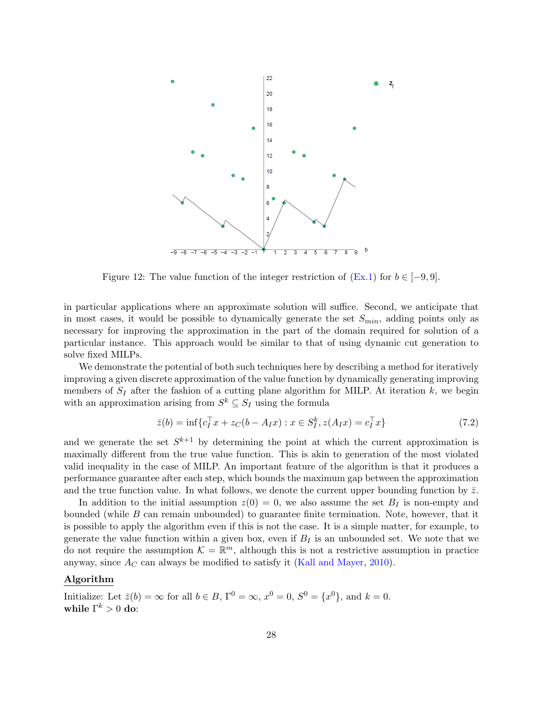<span id="page-27-0"></span>

Figure 12: The value function of the integer restriction of  $(Ex.1)$  for  $b \in [-9, 9]$ .

in particular applications where an approximate solution will suffice. Second, we anticipate that in most cases, it would be possible to dynamically generate the set  $S_{min}$ , adding points only as necessary for improving the approximation in the part of the domain required for solution of a particular instance. This approach would be similar to that of using dynamic cut generation to solve fixed MILPs.

We demonstrate the potential of both such techniques here by describing a method for iteratively improving a given discrete approximation of the value function by dynamically generating improving members of  $S_I$  after the fashion of a cutting plane algorithm for MILP. At iteration  $k$ , we begin with an approximation arising from  $S^k \subseteq S_I$  using the formula

$$
\bar{z}(b) = \inf \{ c_I^{\top} x + z_C(b - A_I x) : x \in S_I^k, z(A_I x) = c_I^{\top} x \}
$$
\n(7.2)

and we generate the set  $S^{k+1}$  by determining the point at which the current approximation is maximally different from the true value function. This is akin to generation of the most violated valid inequality in the case of MILP. An important feature of the algorithm is that it produces a performance guarantee after each step, which bounds the maximum gap between the approximation and the true function value. In what follows, we denote the current upper bounding function by  $\bar{z}$ .

In addition to the initial assumption  $z(0) = 0$ , we also assume the set  $B<sub>I</sub>$  is non-empty and bounded (while B can remain unbounded) to guarantee finite termination. Note, however, that it is possible to apply the algorithm even if this is not the case. It is a simple matter, for example, to generate the value function within a given box, even if  $B_I$  is an unbounded set. We note that we do not require the assumption  $\mathcal{K} = \mathbb{R}^m$ , although this is not a restrictive assumption in practice anyway, since  $A_C$  can always be modified to satisfy it [\(Kall and Mayer,](#page-32-10) [2010\)](#page-32-10).

#### Algorithm

Initialize: Let  $\bar{z}(b) = \infty$  for all  $b \in B$ ,  $\Gamma^0 = \infty$ ,  $x^0 = 0$ ,  $S^0 = \{x^0\}$ , and  $k = 0$ . while  $\Gamma^k>0$  do: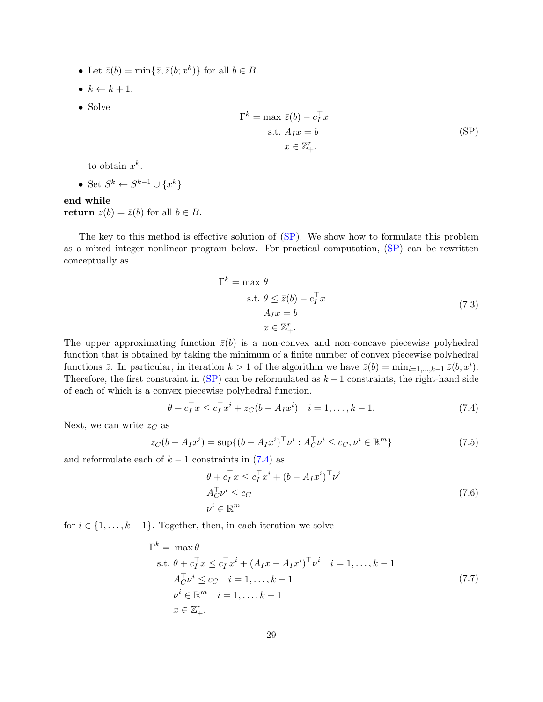- Let  $\bar{z}(b) = \min\{\bar{z}, \bar{z}(b; x^k)\}\$ for all  $b \in B$ .
- $k \leftarrow k + 1$ .
- Solve

<span id="page-28-0"></span>
$$
\Gamma^{k} = \max \bar{z}(b) - c_{I}^{\top} x
$$
  
s.t.  $A_{I}x = b$   
 $x \in \mathbb{Z}_{+}^{r}.$  (SP)

to obtain  $x^k$ .

• Set  $S^k \leftarrow S^{k-1} \cup \{x^k\}$ 

# end while

return  $z(b) = \bar{z}(b)$  for all  $b \in B$ .

The key to this method is effective solution of [\(SP\)](#page-28-0). We show how to formulate this problem as a mixed integer nonlinear program below. For practical computation, [\(SP\)](#page-28-0) can be rewritten conceptually as

$$
\Gamma^{k} = \max \theta
$$
  
s.t.  $\theta \le \bar{z}(b) - c_{I}^{\top} x$   
 $A_{I}x = b$   
 $x \in \mathbb{Z}_{+}^{r}.$  (7.3)

The upper approximating function  $\bar{z}(b)$  is a non-convex and non-concave piecewise polyhedral function that is obtained by taking the minimum of a finite number of convex piecewise polyhedral functions  $\bar{z}$ . In particular, in iteration  $k > 1$  of the algorithm we have  $\bar{z}(b) = \min_{i=1,\dots,k-1} \bar{z}(b; x^i)$ . Therefore, the first constraint in  $(SP)$  can be reformulated as  $k-1$  constraints, the right-hand side of each of which is a convex piecewise polyhedral function.

<span id="page-28-1"></span>
$$
\theta + c_I^{\top} x \le c_I^{\top} x^i + z_C (b - A_I x^i) \quad i = 1, \dots, k - 1. \tag{7.4}
$$

Next, we can write  $z<sub>C</sub>$  as

$$
z_C(b - A_I x^i) = \sup \{ (b - A_I x^i)^\top \nu^i : A_C^\top \nu^i \le c_C, \nu^i \in \mathbb{R}^m \}
$$
(7.5)

and reformulate each of  $k - 1$  constraints in [\(7.4\)](#page-28-1) as

$$
\theta + c_I^{\top} x \le c_I^{\top} x^i + (b - A_I x^i)^{\top} \nu^i
$$
  
\n
$$
A_C^{\top} \nu^i \le c_C
$$
  
\n
$$
\nu^i \in \mathbb{R}^m
$$
\n(7.6)

for  $i \in \{1, \ldots, k-1\}$ . Together, then, in each iteration we solve

<span id="page-28-2"></span>
$$
\Gamma^{k} = \max \theta
$$
  
s.t.  $\theta + c_{I}^{\top} x \le c_{I}^{\top} x^{i} + (A_{I} x - A_{I} x^{i})^{\top} \nu^{i}$   $i = 1, ..., k - 1$   
 $A_{C}^{\top} \nu^{i} \le c_{C} \quad i = 1, ..., k - 1$   
 $\nu^{i} \in \mathbb{R}^{m} \quad i = 1, ..., k - 1$   
 $x \in \mathbb{Z}_{+}^{r}.$  (7.7)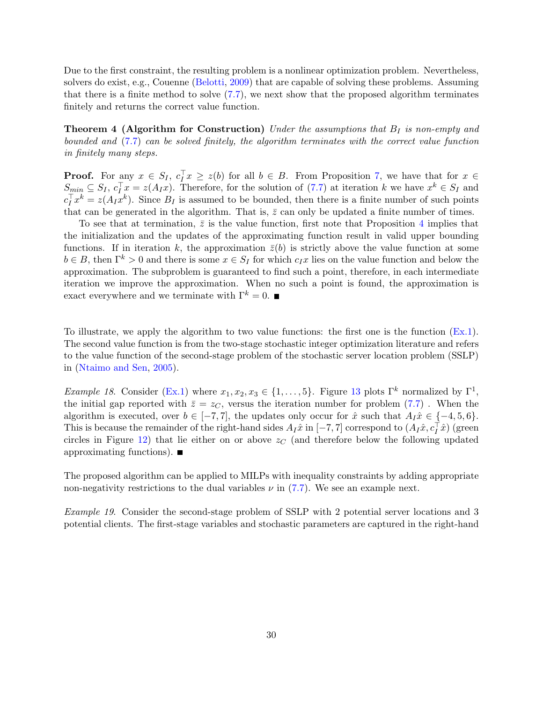Due to the first constraint, the resulting problem is a nonlinear optimization problem. Nevertheless, solvers do exist, e.g., Couenne [\(Belotti,](#page-31-8) [2009\)](#page-31-8) that are capable of solving these problems. Assuming that there is a finite method to solve  $(7.7)$ , we next show that the proposed algorithm terminates finitely and returns the correct value function.

**Theorem 4 (Algorithm for Construction)** Under the assumptions that  $B_I$  is non-empty and bounded and [\(7.7\)](#page-28-2) can be solved finitely, the algorithm terminates with the correct value function in finitely many steps.

**Proof.** For any  $x \in S_I$ ,  $c_I^{\top} x \geq z(b)$  for all  $b \in B$ . From Proposition [7,](#page-13-0) we have that for  $x \in$  $S_{min} \subseteq S_I, c_I^{\top} x = z(A_I x)$ . Therefore, for the solution of [\(7.7\)](#page-28-2) at iteration k we have  $x^k \in S_I$  and  $c_I^T x^k = z(A_I x^k)$ . Since  $B_I$  is assumed to be bounded, then there is a finite number of such points that can be generated in the algorithm. That is,  $\bar{z}$  can only be updated a finite number of times.

To see that at termination,  $\bar{z}$  is the value function, first note that Proposition [4](#page-9-0) implies that the initialization and the updates of the approximating function result in valid upper bounding functions. If in iteration k, the approximation  $\bar{z}(b)$  is strictly above the value function at some  $b \in B$ , then  $\Gamma^k > 0$  and there is some  $x \in S_I$  for which  $c_I x$  lies on the value function and below the approximation. The subproblem is guaranteed to find such a point, therefore, in each intermediate iteration we improve the approximation. When no such a point is found, the approximation is exact everywhere and we terminate with  $\Gamma^k = 0$ .

To illustrate, we apply the algorithm to two value functions: the first one is the function [\(Ex.1\)](#page-2-2). The second value function is from the two-stage stochastic integer optimization literature and refers to the value function of the second-stage problem of the stochastic server location problem (SSLP) in [\(Ntaimo and Sen,](#page-32-11) [2005\)](#page-32-11).

*Example 18.* Consider [\(Ex.1\)](#page-2-2) where  $x_1, x_2, x_3 \in \{1, ..., 5\}$ . Figure [13](#page-30-0) plots  $\Gamma^k$  normalized by  $\Gamma^1$ , the initial gap reported with  $\bar{z} = z_C$ , versus the iteration number for problem [\(7.7\)](#page-28-2). When the algorithm is executed, over  $b \in [-7, 7]$ , the updates only occur for  $\hat{x}$  such that  $A_I \hat{x} \in \{-4, 5, 6\}$ . This is because the remainder of the right-hand sides  $A_I\hat{x}$  in [-7,7] correspond to  $(A_I\hat{x}, c_I^T\hat{x})$  (green circles in Figure [12\)](#page-27-0) that lie either on or above  $z<sub>C</sub>$  (and therefore below the following updated approximating functions).

The proposed algorithm can be applied to MILPs with inequality constraints by adding appropriate non-negativity restrictions to the dual variables  $\nu$  in [\(7.7\)](#page-28-2). We see an example next.

Example 19. Consider the second-stage problem of SSLP with 2 potential server locations and 3 potential clients. The first-stage variables and stochastic parameters are captured in the right-hand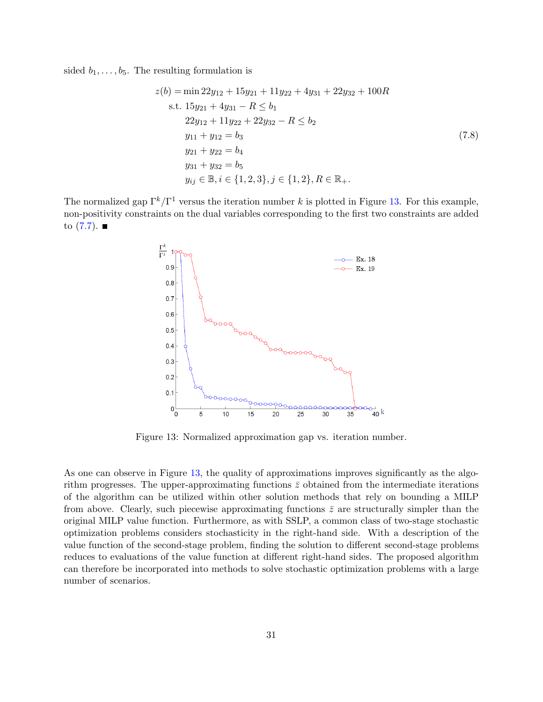sided  $b_1, \ldots, b_5$ . The resulting formulation is

$$
z(b) = \min 22y_{12} + 15y_{21} + 11y_{22} + 4y_{31} + 22y_{32} + 100R
$$
  
s.t.  $15y_{21} + 4y_{31} - R \le b_1$   
 $22y_{12} + 11y_{22} + 22y_{32} - R \le b_2$   
 $y_{11} + y_{12} = b_3$   
 $y_{21} + y_{22} = b_4$   
 $y_{31} + y_{32} = b_5$   
 $y_{ij} \in \mathbb{B}, i \in \{1, 2, 3\}, j \in \{1, 2\}, R \in \mathbb{R}_+.$  (7.8)

<span id="page-30-0"></span>The normalized gap  $\Gamma^k/\Gamma^1$  versus the iteration number k is plotted in Figure [13.](#page-30-0) For this example, non-positivity constraints on the dual variables corresponding to the first two constraints are added to  $(7.7)$ .



Figure 13: Normalized approximation gap vs. iteration number.

As one can observe in Figure [13,](#page-30-0) the quality of approximations improves significantly as the algorithm progresses. The upper-approximating functions  $\bar{z}$  obtained from the intermediate iterations of the algorithm can be utilized within other solution methods that rely on bounding a MILP from above. Clearly, such piecewise approximating functions  $\bar{z}$  are structurally simpler than the original MILP value function. Furthermore, as with SSLP, a common class of two-stage stochastic optimization problems considers stochasticity in the right-hand side. With a description of the value function of the second-stage problem, finding the solution to different second-stage problems reduces to evaluations of the value function at different right-hand sides. The proposed algorithm can therefore be incorporated into methods to solve stochastic optimization problems with a large number of scenarios.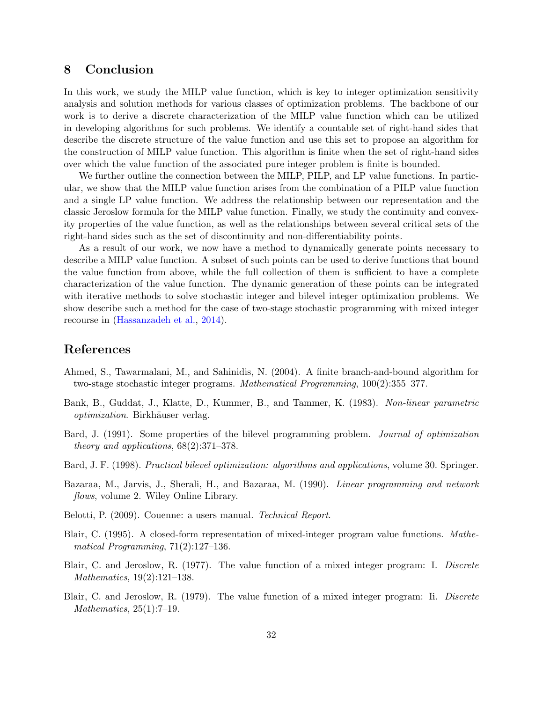# 8 Conclusion

In this work, we study the MILP value function, which is key to integer optimization sensitivity analysis and solution methods for various classes of optimization problems. The backbone of our work is to derive a discrete characterization of the MILP value function which can be utilized in developing algorithms for such problems. We identify a countable set of right-hand sides that describe the discrete structure of the value function and use this set to propose an algorithm for the construction of MILP value function. This algorithm is finite when the set of right-hand sides over which the value function of the associated pure integer problem is finite is bounded.

We further outline the connection between the MILP, PILP, and LP value functions. In particular, we show that the MILP value function arises from the combination of a PILP value function and a single LP value function. We address the relationship between our representation and the classic Jeroslow formula for the MILP value function. Finally, we study the continuity and convexity properties of the value function, as well as the relationships between several critical sets of the right-hand sides such as the set of discontinuity and non-differentiability points.

As a result of our work, we now have a method to dynamically generate points necessary to describe a MILP value function. A subset of such points can be used to derive functions that bound the value function from above, while the full collection of them is sufficient to have a complete characterization of the value function. The dynamic generation of these points can be integrated with iterative methods to solve stochastic integer and bilevel integer optimization problems. We show describe such a method for the case of two-stage stochastic programming with mixed integer recourse in [\(Hassanzadeh et al.,](#page-32-12) [2014\)](#page-32-12).

# References

- <span id="page-31-2"></span>Ahmed, S., Tawarmalani, M., and Sahinidis, N. (2004). A finite branch-and-bound algorithm for two-stage stochastic integer programs. Mathematical Programming, 100(2):355–377.
- <span id="page-31-3"></span>Bank, B., Guddat, J., Klatte, D., Kummer, B., and Tammer, K. (1983). Non-linear parametric optimization. Birkhäuser verlag.
- <span id="page-31-0"></span>Bard, J. (1991). Some properties of the bilevel programming problem. Journal of optimization theory and applications, 68(2):371–378.
- <span id="page-31-1"></span>Bard, J. F. (1998). Practical bilevel optimization: algorithms and applications, volume 30. Springer.
- <span id="page-31-7"></span>Bazaraa, M., Jarvis, J., Sherali, H., and Bazaraa, M. (1990). Linear programming and network flows, volume 2. Wiley Online Library.
- <span id="page-31-8"></span>Belotti, P. (2009). Couenne: a users manual. Technical Report.
- <span id="page-31-6"></span>Blair, C. (1995). A closed-form representation of mixed-integer program value functions. Mathematical Programming, 71(2):127–136.
- <span id="page-31-4"></span>Blair, C. and Jeroslow, R. (1977). The value function of a mixed integer program: I. Discrete Mathematics, 19(2):121–138.
- <span id="page-31-5"></span>Blair, C. and Jeroslow, R. (1979). The value function of a mixed integer program: Ii. Discrete Mathematics, 25(1):7–19.